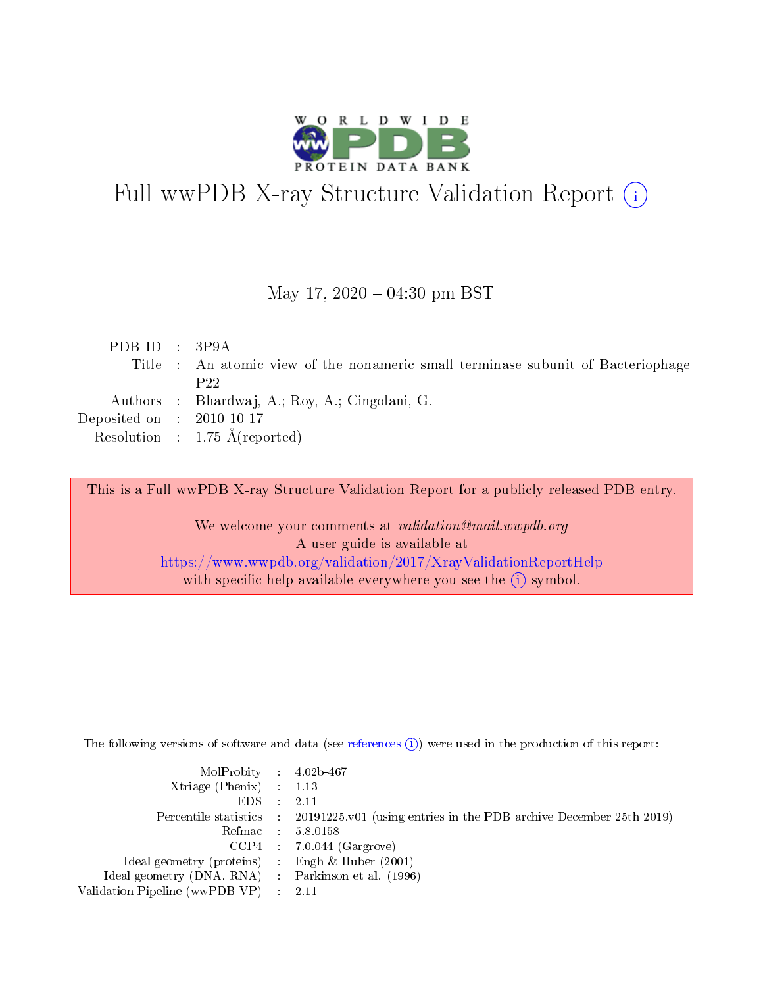

## Full wwPDB X-ray Structure Validation Report (i)

#### May 17,  $2020 - 04:30$  pm BST

| PDBID : 3P9A                |                                                                                  |
|-----------------------------|----------------------------------------------------------------------------------|
|                             | Title : An atomic view of the nonameric small terminase subunit of Bacteriophage |
|                             | P22                                                                              |
|                             | Authors : Bhardwaj, A.; Roy, A.; Cingolani, G.                                   |
| Deposited on : $2010-10-17$ |                                                                                  |
|                             | Resolution : $1.75 \text{ Å}$ (reported)                                         |
|                             |                                                                                  |

This is a Full wwPDB X-ray Structure Validation Report for a publicly released PDB entry.

We welcome your comments at validation@mail.wwpdb.org A user guide is available at <https://www.wwpdb.org/validation/2017/XrayValidationReportHelp> with specific help available everywhere you see the  $(i)$  symbol.

The following versions of software and data (see [references](https://www.wwpdb.org/validation/2017/XrayValidationReportHelp#references)  $(i)$ ) were used in the production of this report:

| MolProbity : 4.02b-467                              |                                                                                            |
|-----------------------------------------------------|--------------------------------------------------------------------------------------------|
| Xtriage (Phenix) $: 1.13$                           |                                                                                            |
| $EDS = 2.11$                                        |                                                                                            |
|                                                     | Percentile statistics : 20191225.v01 (using entries in the PDB archive December 25th 2019) |
|                                                     | Refmac : 5.8.0158                                                                          |
|                                                     | $CCP4$ : 7.0.044 (Gargrove)                                                                |
| Ideal geometry (proteins) : Engh $\&$ Huber (2001)  |                                                                                            |
| Ideal geometry (DNA, RNA) : Parkinson et al. (1996) |                                                                                            |
| Validation Pipeline (wwPDB-VP) : 2.11               |                                                                                            |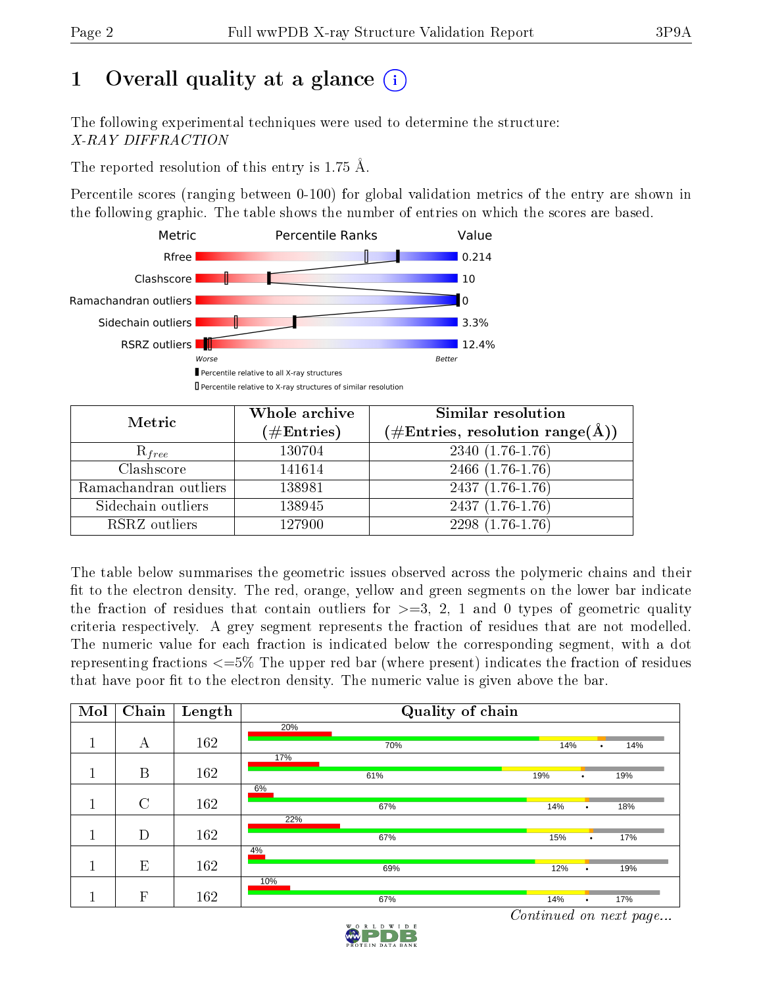## 1 [O](https://www.wwpdb.org/validation/2017/XrayValidationReportHelp#overall_quality)verall quality at a glance  $(i)$

The following experimental techniques were used to determine the structure: X-RAY DIFFRACTION

The reported resolution of this entry is 1.75 Å.

Percentile scores (ranging between 0-100) for global validation metrics of the entry are shown in the following graphic. The table shows the number of entries on which the scores are based.



| Metric                | Whole archive<br>$(\#\text{Entries})$ | Similar resolution<br>$(\#\text{Entries},\,\text{resolution}\,\,\text{range}(\textup{\AA}))$ |
|-----------------------|---------------------------------------|----------------------------------------------------------------------------------------------|
| $R_{free}$            | 130704                                | $2340(1.76-1.76)$                                                                            |
| Clashscore            | 141614                                | 2466 (1.76-1.76)                                                                             |
| Ramachandran outliers | 138981                                | $2437(1.76-1.76)$                                                                            |
| Sidechain outliers    | 138945                                | $2437(1.76-1.76)$                                                                            |
| RSRZ outliers         | 127900                                | 2298 (1.76-1.76)                                                                             |

The table below summarises the geometric issues observed across the polymeric chains and their fit to the electron density. The red, orange, yellow and green segments on the lower bar indicate the fraction of residues that contain outliers for  $>=$  3, 2, 1 and 0 types of geometric quality criteria respectively. A grey segment represents the fraction of residues that are not modelled. The numeric value for each fraction is indicated below the corresponding segment, with a dot representing fractions  $\epsilon=5\%$  The upper red bar (where present) indicates the fraction of residues that have poor fit to the electron density. The numeric value is given above the bar.

| Mol | Chain         | Length | Quality of chain |                         |  |  |  |
|-----|---------------|--------|------------------|-------------------------|--|--|--|
|     |               |        | 20%              |                         |  |  |  |
|     | А             | 162    | 70%              | 14%<br>14%<br>٠         |  |  |  |
|     |               |        | 17%              |                         |  |  |  |
|     | B             | 162    | 61%              | 19%<br>19%<br>٠         |  |  |  |
|     |               |        | 6%               |                         |  |  |  |
|     | $\mathcal{C}$ | 162    | 67%              | 14%<br>18%<br>٠         |  |  |  |
|     |               |        | 22%              |                         |  |  |  |
|     | D             | 162    | 67%              | 15%<br>17%<br>$\bullet$ |  |  |  |
|     |               |        | 4%               |                         |  |  |  |
|     | E             | 162    | 69%              | 12%<br>19%<br>٠         |  |  |  |
|     |               |        | 10%              |                         |  |  |  |
|     | $\mathbf{F}$  | 162    | 67%              | 14%<br>17%<br>٠         |  |  |  |

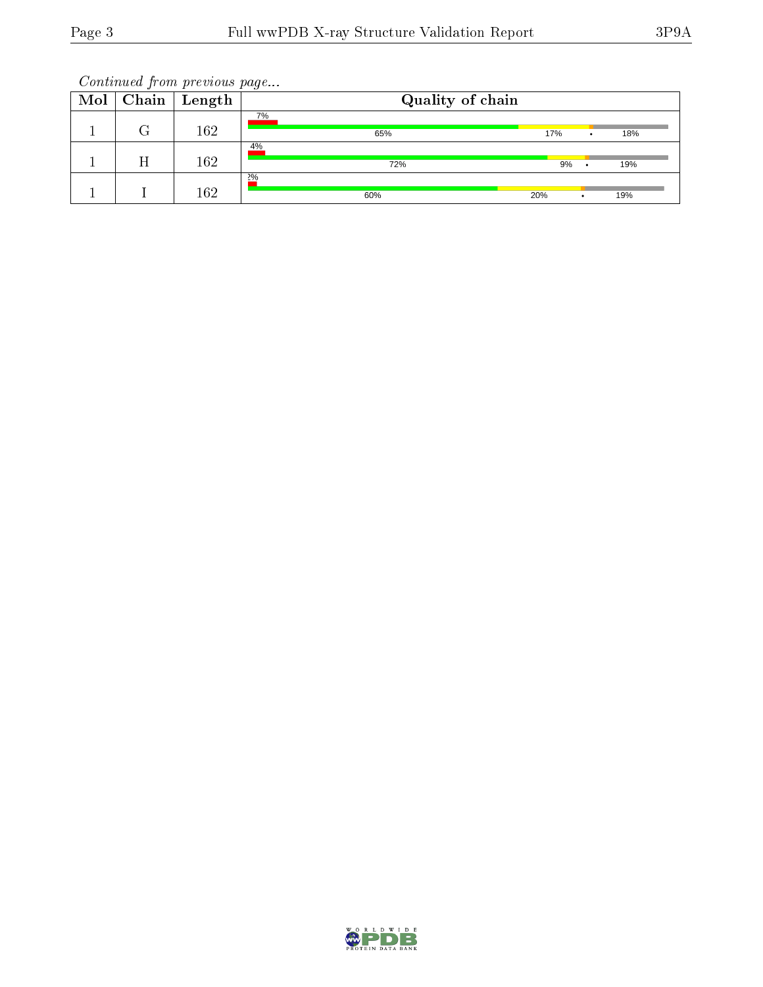| $Mol \vert$ | Chain | Length | Quality of chain |     |     |
|-------------|-------|--------|------------------|-----|-----|
|             |       | 162    | 7%<br>65%        | 17% | 18% |
|             |       | 162    | 4%<br>72%        | 9%  | 19% |
|             |       | 162    | $2\%$<br>60%     | 20% | 19% |

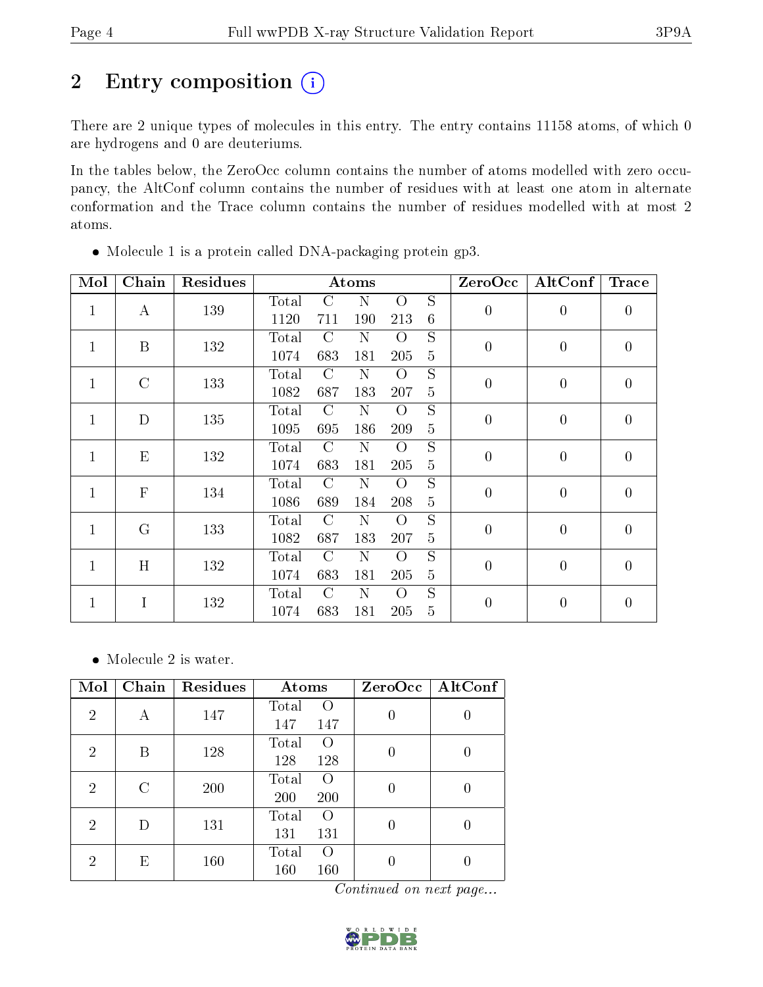## 2 Entry composition (i)

There are 2 unique types of molecules in this entry. The entry contains 11158 atoms, of which 0 are hydrogens and 0 are deuteriums.

In the tables below, the ZeroOcc column contains the number of atoms modelled with zero occupancy, the AltConf column contains the number of residues with at least one atom in alternate conformation and the Trace column contains the number of residues modelled with at most 2 atoms.

| Mol          | Chain         | Residues |                |               | Atoms |                |                 | ZeroOcc        | AltConf        | <b>Trace</b>   |
|--------------|---------------|----------|----------------|---------------|-------|----------------|-----------------|----------------|----------------|----------------|
| $\mathbf{1}$ | $\bf{A}$      | 139      | Total          | $\rm C$       | N     | $\overline{O}$ | $\overline{S}$  | $\overline{0}$ | $\overline{0}$ | $\overline{0}$ |
|              |               |          | 1120           | 711           | 190   | 213            | $6\phantom{.}6$ |                |                |                |
| $\mathbf{1}$ | B             | 132      | Total          | $\rm C$       | N     | $\overline{O}$ | S               | $\overline{0}$ | $\overline{0}$ | $\overline{0}$ |
|              |               |          | 1074           | 683           | 181   | 205            | 5               |                |                |                |
| $\mathbf{1}$ | $\mathcal{C}$ | 133      | Total          | $\mathcal{C}$ | N     | $\overline{O}$ | S               | $\overline{0}$ | $\overline{0}$ | $\overline{0}$ |
|              |               |          | 1082           | 687           | 183   | 207            | $\overline{5}$  |                |                |                |
| 1            | D             | 135      | Total          | $\mathcal{C}$ | N     | $\overline{O}$ | S               | $\overline{0}$ | $\overline{0}$ | $\overline{0}$ |
|              |               |          | 1095           | 695           | 186   | 209            | $\overline{5}$  |                |                |                |
| $\mathbf{1}$ | ${\bf E}$     | 132      | Total          | $\mathcal{C}$ | N     | $\overline{O}$ | S               | $\overline{0}$ | $\overline{0}$ | $\theta$       |
|              |               |          | 1074           | 683           | 181   | 205            | $\overline{5}$  |                |                |                |
| $\mathbf{1}$ | ${\bf F}$     | 134      | Total          | $\mathcal{C}$ | N     | O              | $\overline{S}$  | $\overline{0}$ | $\overline{0}$ | $\overline{0}$ |
|              |               |          | 1086           | 689           | 184   | 208            | 5               |                |                |                |
| $\mathbf{1}$ | $\mathbf G$   | 133      | Total          | $\mathcal{C}$ | N     | $\overline{O}$ | $\overline{S}$  | $\overline{0}$ | $\overline{0}$ | $\overline{0}$ |
|              |               |          | 1082           | 687           | 183   | 207            | $\bf 5$         |                |                |                |
| $\mathbf{1}$ | H             | 132      | Total          | C             | N     | $\overline{O}$ | $\overline{S}$  | $\overline{0}$ | $\overline{0}$ | $\overline{0}$ |
|              |               |          | 1074           | 683           | 181   | 205            | $\overline{5}$  |                |                |                |
| $\mathbf{1}$ | I             | 132      | $\text{Total}$ | $\rm C$       | N     | $\Omega$       | S               | $\overline{0}$ | $\overline{0}$ | $\theta$       |
|              |               |          | 1074           | 683           | 181   | 205            | 5               |                |                |                |

Molecule 1 is a protein called DNA-packaging protein gp3.

• Molecule 2 is water.

| Mol            | Chain | Residues | Atoms                                     | ZeroOcc                                    | AltConf |
|----------------|-------|----------|-------------------------------------------|--------------------------------------------|---------|
| $\overline{2}$ | Α     | 147      | Total<br>$\left( \right)$<br>147<br>147   |                                            |         |
| $\overline{2}$ | В     | 128      | Total<br>$\left( \right)$<br>128<br>128   |                                            |         |
| 2              | C     | 200      | Total<br>$\Omega$<br>200<br>200           |                                            |         |
| $\overline{2}$ | D     | 131      | Total<br>$\Omega$<br>131<br>131           |                                            | 0       |
| $\overline{2}$ | Ε     | 160      | Total<br>$\Omega$<br>160<br>160<br>$\sim$ | <b>Contract Contract Contract Contract</b> |         |

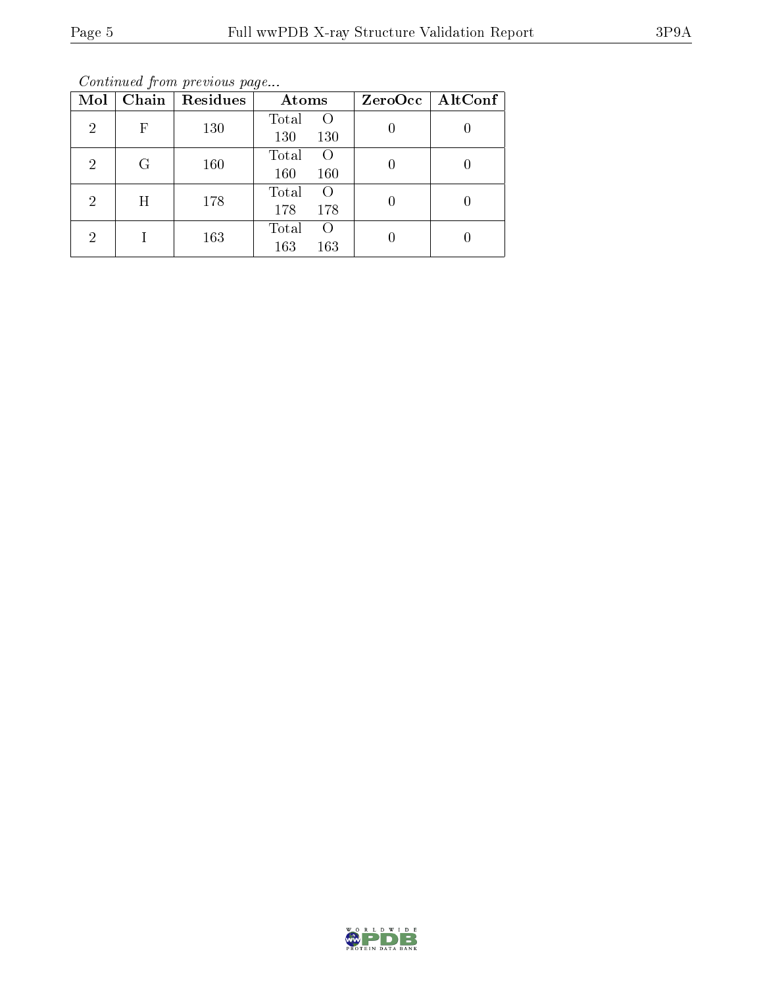Continued from previous page...

| Mol            | Chain | Residues | Atoms                                   |   | $ZeroOcc \   \ AltConf$ |
|----------------|-------|----------|-----------------------------------------|---|-------------------------|
| 2              | F     | 130      | Total<br>$\Omega$<br>130<br>130         | 0 |                         |
| $\overline{2}$ | G     | 160      | Total<br>$\Omega$<br>160<br>160         | 0 |                         |
| 2              | H     | 178      | Total<br>$\left( \right)$<br>178<br>178 | 0 |                         |
| 2              |       | 163      | Total<br>$\left( \right)$<br>163<br>163 |   |                         |

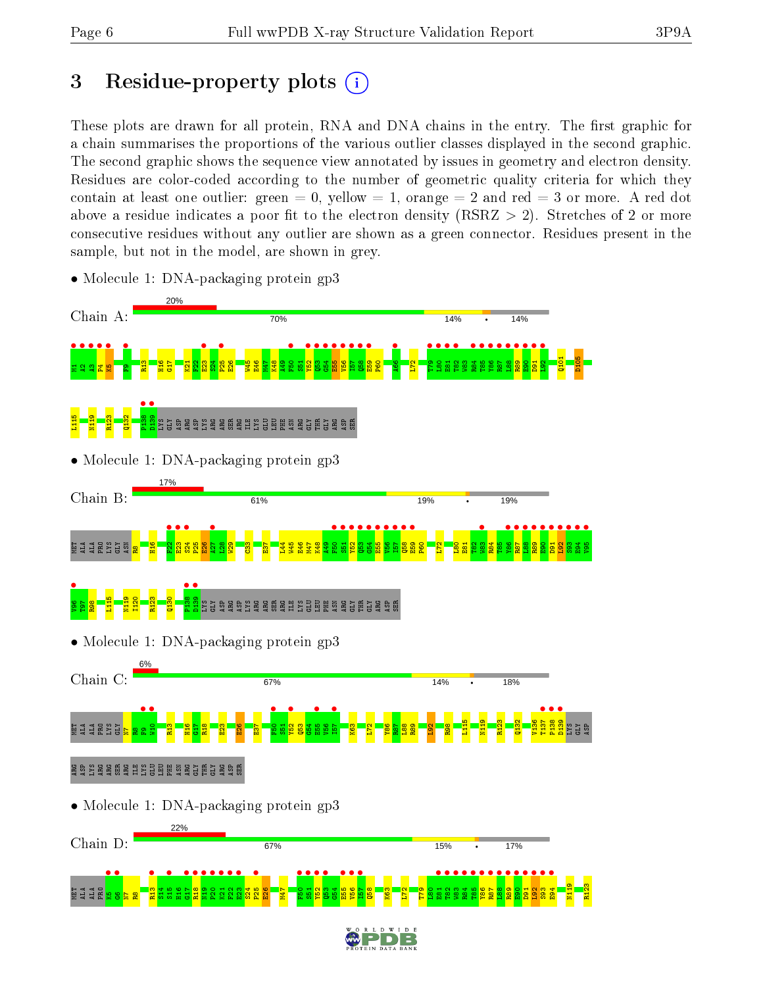## 3 Residue-property plots  $(i)$

These plots are drawn for all protein, RNA and DNA chains in the entry. The first graphic for a chain summarises the proportions of the various outlier classes displayed in the second graphic. The second graphic shows the sequence view annotated by issues in geometry and electron density. Residues are color-coded according to the number of geometric quality criteria for which they contain at least one outlier: green  $= 0$ , yellow  $= 1$ , orange  $= 2$  and red  $= 3$  or more. A red dot above a residue indicates a poor fit to the electron density (RSRZ  $> 2$ ). Stretches of 2 or more consecutive residues without any outlier are shown as a green connector. Residues present in the sample, but not in the model, are shown in grey.



• Molecule 1: DNA-packaging protein gp3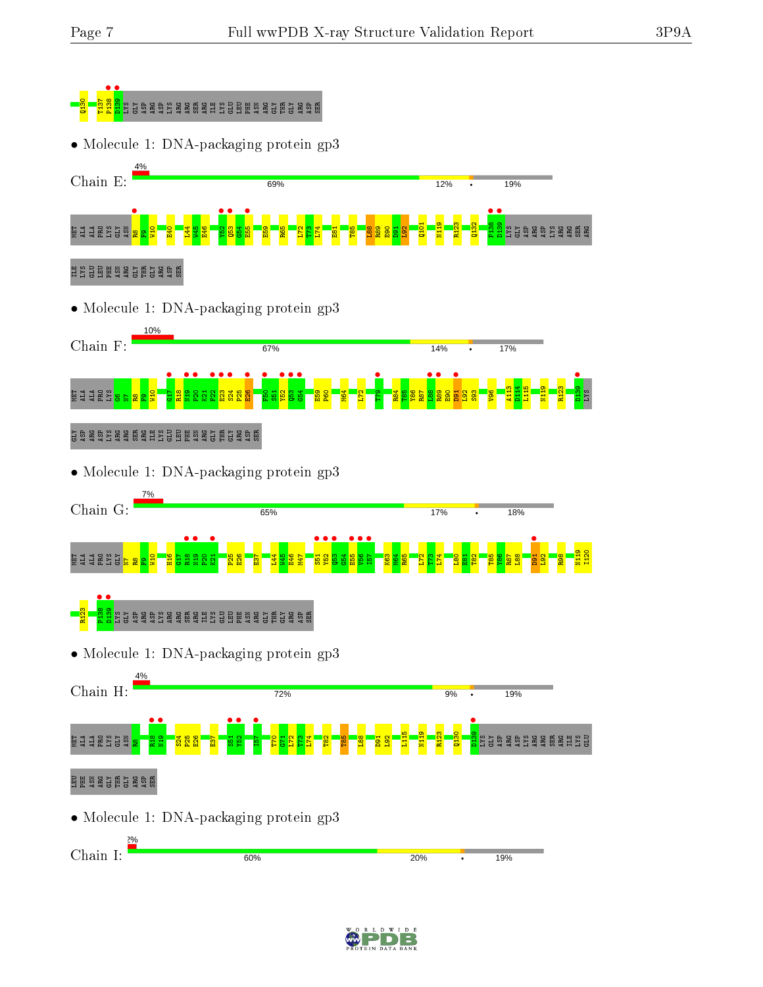



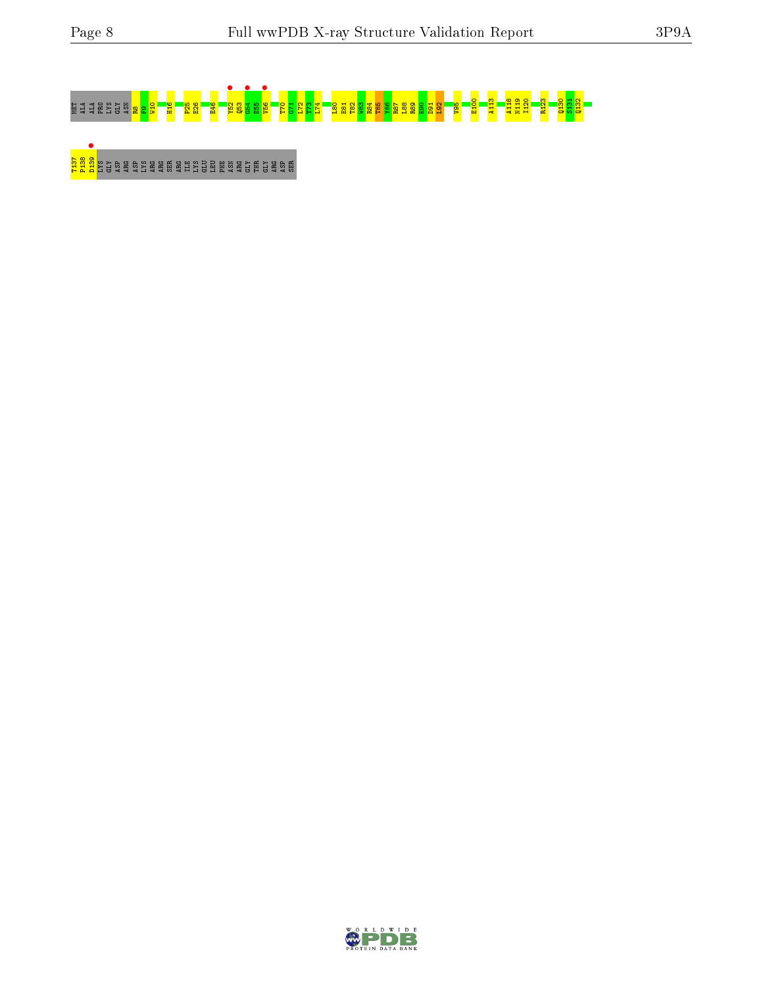# MET ALA ALA PRO LYS GLY ASN R8F9W10 H16 P25 E26 E46 Y52 • Q53 G54 • E55 V56 • T70 G71 L72 T73 L74 L80 E81 T82 W83 R84 T85 Y86 R87 L88 R89 E90 D91 L92 V95 E100 A113 A118 N119 I120 R123 Q130 S131 Q132

## <mark>ass</mark> as a ser are are are are all as phe as a serie as a

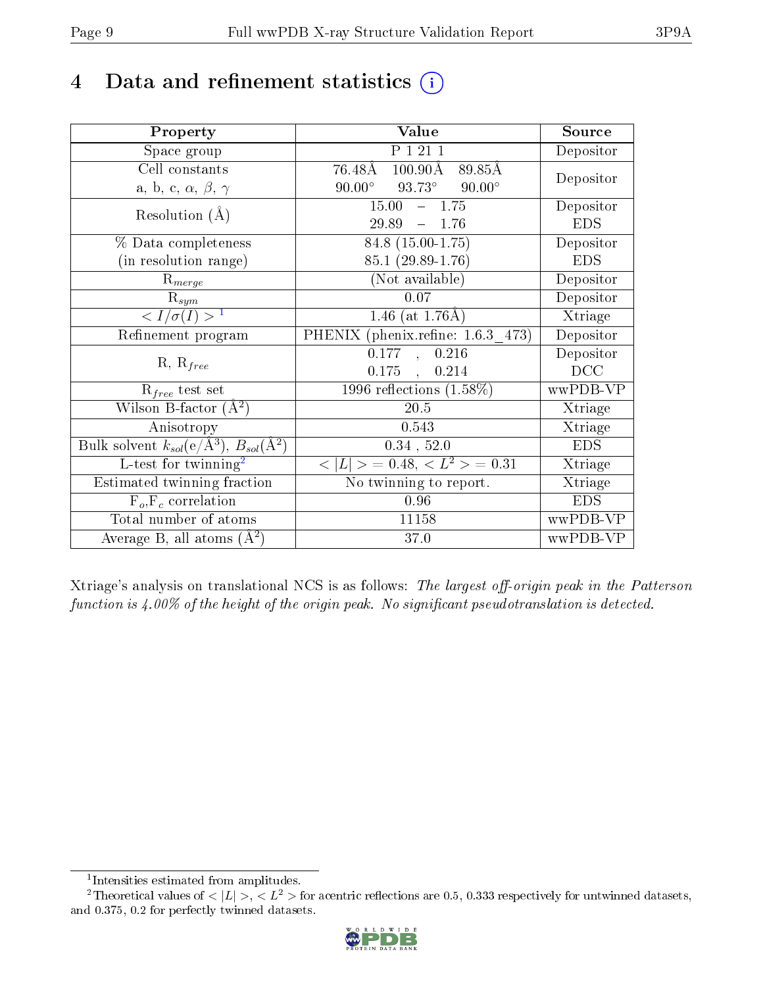## 4 Data and refinement statistics  $(i)$

| Property                                                             | <b>Value</b>                                             | Source     |
|----------------------------------------------------------------------|----------------------------------------------------------|------------|
| Space group                                                          | P 1 21 1                                                 | Depositor  |
| Cell constants                                                       | 76.48Å<br>$100.90\text{\AA}$<br>89.85Å                   |            |
| a, b, c, $\alpha$ , $\beta$ , $\gamma$                               | $93.73^\circ$<br>$90.00^\circ$<br>$90.00^\circ$          | Depositor  |
| Resolution $(A)$                                                     | 15.00<br>$-1.75$                                         | Depositor  |
|                                                                      | $29.89 - 1.76$                                           | <b>EDS</b> |
| % Data completeness                                                  | $84.8(15.00-1.75)$                                       | Depositor  |
| (in resolution range)                                                | 85.1 (29.89-1.76)                                        | <b>EDS</b> |
| $R_{merge}$                                                          | (Not available)                                          | Depositor  |
| $\mathrm{R}_{sym}$                                                   | 0.07                                                     | Depositor  |
| $\sqrt{I/\sigma}(I) > 1$                                             | 1.46 (at $1.76\text{\AA}$ )                              | Xtriage    |
| Refinement program                                                   | PHENIX (phenix.refine: 1.6.3 473)                        | Depositor  |
|                                                                      | 0.177<br>0.216<br>$\mathcal{L}_{\mathbf{A}}$             | Depositor  |
| $R, R_{free}$                                                        | $0.175$ ,<br>0.214                                       | DCC        |
| $R_{free}$ test set                                                  | 1996 reflections $(1.58\%)$                              | wwPDB-VP   |
| Wilson B-factor $(A^2)$                                              | $\overline{20.5}$                                        | Xtriage    |
| Anisotropy                                                           | 0.543                                                    | Xtriage    |
| Bulk solvent $k_{sol}(e/\mathring{A}^3)$ , $B_{sol}(\mathring{A}^2)$ | $0.34$ , $52.0$                                          | <b>EDS</b> |
| $L$ -test for twinning <sup>2</sup>                                  | $\langle  L  \rangle = 0.48, \langle L^2 \rangle = 0.31$ | Xtriage    |
| Estimated twinning fraction                                          | No twinning to report.                                   | Xtriage    |
| $F_o, F_c$ correlation                                               | 0.96                                                     | <b>EDS</b> |
| Total number of atoms                                                | 11158                                                    | wwPDB-VP   |
| Average B, all atoms $(A^2)$                                         | 37.0                                                     | wwPDB-VP   |

Xtriage's analysis on translational NCS is as follows: The largest off-origin peak in the Patterson function is  $4.00\%$  of the height of the origin peak. No significant pseudotranslation is detected.

<sup>&</sup>lt;sup>2</sup>Theoretical values of  $\langle |L| \rangle$ ,  $\langle L^2 \rangle$  for acentric reflections are 0.5, 0.333 respectively for untwinned datasets, and 0.375, 0.2 for perfectly twinned datasets.



<span id="page-8-1"></span><span id="page-8-0"></span><sup>1</sup> Intensities estimated from amplitudes.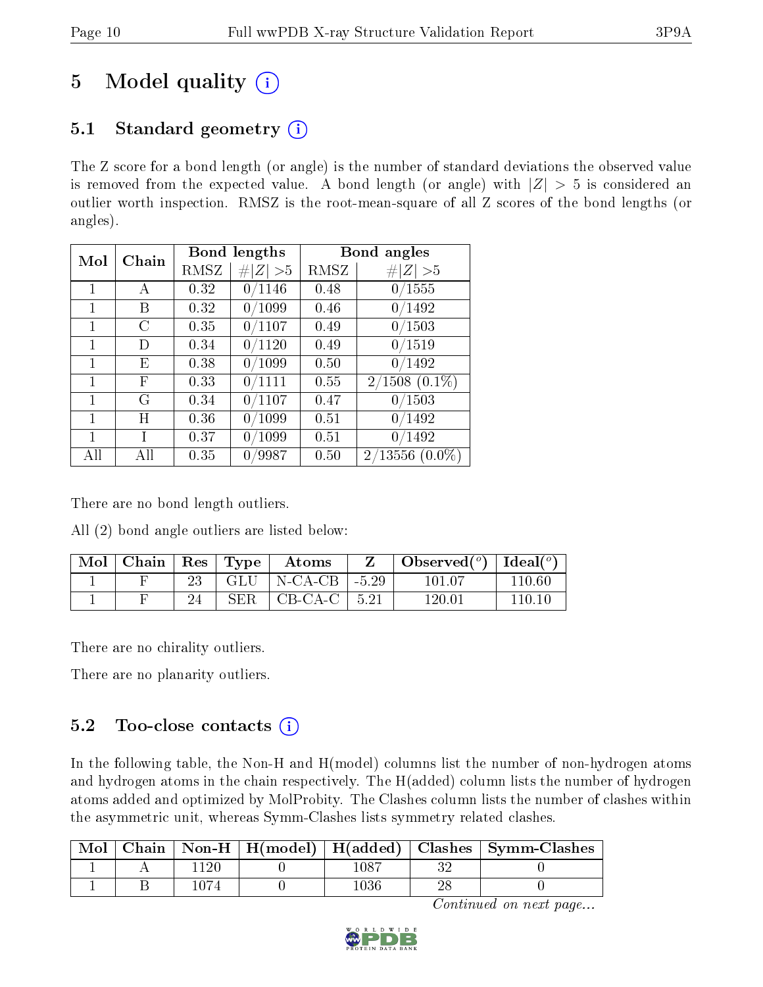## 5 Model quality  $(i)$

## 5.1 Standard geometry  $(i)$

The Z score for a bond length (or angle) is the number of standard deviations the observed value is removed from the expected value. A bond length (or angle) with  $|Z| > 5$  is considered an outlier worth inspection. RMSZ is the root-mean-square of all Z scores of the bond lengths (or angles).

| Mol | Chain |      | Bond lengths | Bond angles |                  |  |
|-----|-------|------|--------------|-------------|------------------|--|
|     |       | RMSZ | # $ Z  > 5$  | RMSZ        | # $ Z  > 5$      |  |
| 1   | А     | 0.32 | 0/1146       | 0.48        | 0/1555           |  |
| 1   | В     | 0.32 | 0/1099       | 0.46        | 0/1492           |  |
| 1   | С     | 0.35 | 0/1107       | 0.49        | 0/1503           |  |
| 1   | D     | 0.34 | 0/1120       | 0.49        | 0/1519           |  |
| 1   | Е     | 0.38 | 0/1099       | 0.50        | 0/1492           |  |
| 1   | F     | 0.33 | 0/1111       | 0.55        | $2/1508(0.1\%)$  |  |
| 1   | G     | 0.34 | 0/1107       | 0.47        | 0/1503           |  |
| 1   | Η     | 0.36 | 0/1099       | 0.51        | 0/1492           |  |
| 1   |       | 0.37 | 0/1099       | 0.51        | 0/1492           |  |
| All | Αll   | 0.35 | 0/9987       | 0.50        | $2/13556(0.0\%)$ |  |

There are no bond length outliers.

All (2) bond angle outliers are listed below:

| Mol | Chain | $\perp$ Res $_{\perp}$ | $\vert$ Type | Atoms                               |      | Observed $(°)$ | Ideal $(^\circ)$ |
|-----|-------|------------------------|--------------|-------------------------------------|------|----------------|------------------|
|     |       |                        |              | $GLU$   N-CA-CB   -5.29             |      | 101 07         | 110.60           |
|     |       |                        | <b>SER</b>   | $\overline{C}$ CB-CA-C <sub>+</sub> | 5.21 | $120.01\,$     | 110.10           |

There are no chirality outliers.

There are no planarity outliers.

### 5.2 Too-close contacts  $(i)$

In the following table, the Non-H and H(model) columns list the number of non-hydrogen atoms and hydrogen atoms in the chain respectively. The H(added) column lists the number of hydrogen atoms added and optimized by MolProbity. The Clashes column lists the number of clashes within the asymmetric unit, whereas Symm-Clashes lists symmetry related clashes.

| Mol |  |          |    | Chain   Non-H   H(model)   H(added)   Clashes   Symm-Clashes |
|-----|--|----------|----|--------------------------------------------------------------|
|     |  | $1087\,$ | າເ |                                                              |
|     |  | 1036     |    |                                                              |

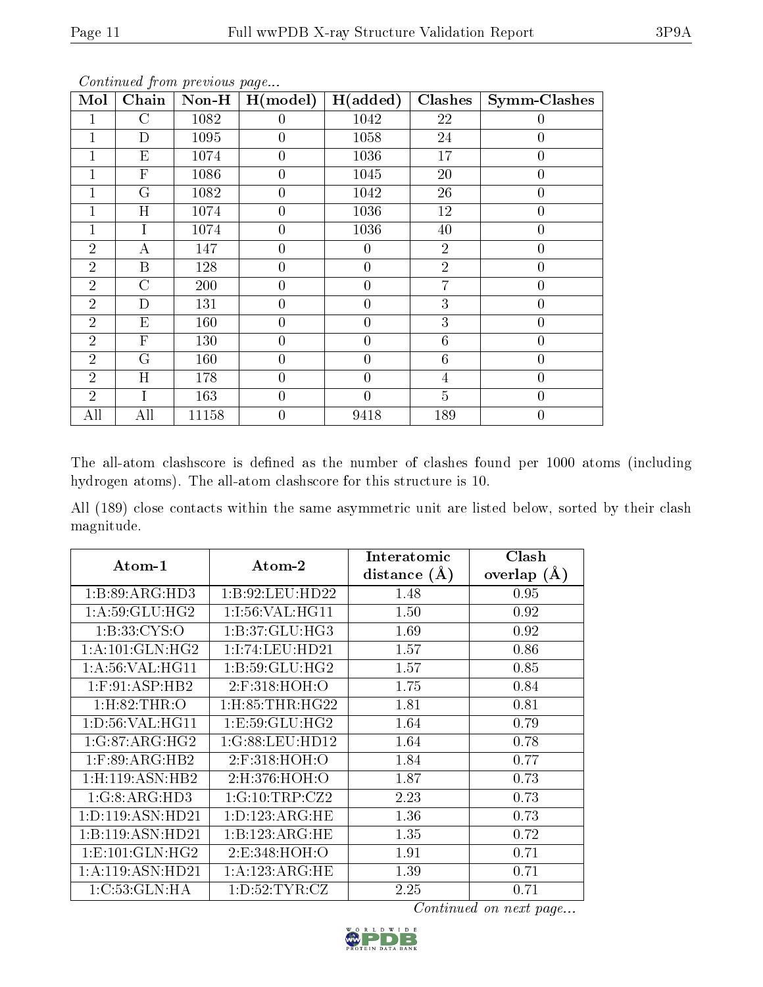|--|

| Mol            | Chain            | $Non-H$ | $\overline{H}$ (model) | H(added)       | Clashes         | <b>Symm-Clashes</b> |
|----------------|------------------|---------|------------------------|----------------|-----------------|---------------------|
|                | $\mathcal C$     | 1082    | $\left( \right)$       | 1042           | 22              | $\theta$            |
|                | D                | 1095    | $\theta$               | 1058           | 24              | $\overline{0}$      |
|                | E                | 1074    | $\theta$               | 1036           | 17              | $\boldsymbol{0}$    |
|                | $\mathbf{F}$     | 1086    | $\overline{0}$         | 1045           | 20              | $\overline{0}$      |
|                | G                | 1082    | $\overline{0}$         | 1042           | 26              | $\overline{0}$      |
|                | H                | 1074    | $\theta$               | 1036           | 12              | $\overline{0}$      |
|                | Ι                | 1074    | $\theta$               | 1036           | 40              | $\overline{0}$      |
| $\overline{2}$ | A                | 147     | $\theta$               | $\theta$       | $\overline{2}$  | $\boldsymbol{0}$    |
| $\overline{2}$ | $\boldsymbol{B}$ | 128     | $\theta$               | $\overline{0}$ | $\overline{2}$  | $\boldsymbol{0}$    |
| $\overline{2}$ | $\overline{C}$   | 200     | $\theta$               | $\overline{0}$ | $\overline{7}$  | $\overline{0}$      |
| $\overline{2}$ | D                | 131     | $\overline{0}$         | $\overline{0}$ | 3               | $\overline{0}$      |
| $\overline{2}$ | E                | 160     | $\theta$               | $\overline{0}$ | $\overline{3}$  | $\overline{0}$      |
| $\overline{2}$ | $\mathbf{F}$     | 130     | $\theta$               | $\theta$       | $6\phantom{.}6$ | $\overline{0}$      |
| $\overline{2}$ | G                | 160     | $\theta$               | $\theta$       | 6               | $\overline{0}$      |
| $\overline{2}$ | H                | 178     | $\theta$               | $\theta$       | $\overline{4}$  | $\boldsymbol{0}$    |
| $\overline{2}$ | Ī                | 163     | $\theta$               | $\theta$       | $\overline{5}$  | $\overline{0}$      |
| All            | All              | 11158   | 0                      | 9418           | 189             | 0                   |

The all-atom clashscore is defined as the number of clashes found per 1000 atoms (including hydrogen atoms). The all-atom clashscore for this structure is 10.

All (189) close contacts within the same asymmetric unit are listed below, sorted by their clash magnitude.

| Atom-1                        | $\boldsymbol{\mathrm{Atom}\text{-}2}$ | Interatomic    | Clash         |
|-------------------------------|---------------------------------------|----------------|---------------|
|                               |                                       | distance $(A)$ | overlap $(A)$ |
| 1:B:89:ARG:HD3                | 1:B:92:LEU:HD22                       | 1.48           | 0.95          |
| 1: A:59: GLU: HG2             | 1:1:56:VAL:HG11                       | 1.50           | 0.92          |
| 1: B: 33: CYS:O               | 1:B:37:GLU:HG3                        | 1.69           | 0.92          |
| 1: A:101: GLN: HG2            | 1:1:74:LEU:HD21                       | 1.57           | 0.86          |
| 1: A:56: VAL:HGI1             | 1: B:59: GLU: HG2                     | 1.57           | 0.85          |
| $1:$ F:91:ASP:HB2             | $2:$ F:318:HOH:O                      | 1.75           | 0.84          |
| 1: H:82: THR:O                | $1:$ H $:85:$ THR $:$ H $G22$         | 1.81           | 0.81          |
| 1: D:56: VAL:HGI1             | 1: E:59: GLU: HG2                     | 1.64           | 0.79          |
| 1:G:87:ARG:HG2                | 1:G:88:LEU:HD12                       | 1.64           | 0.78          |
| $1:$ F:89:ARG:HB2             | 2:F:318:HOH:O                         | 1.84           | 0.77          |
| $1:$ H $:119:$ ASN $:$ HB $2$ | 2:H:376:HOH:O                         | 1.87           | 0.73          |
| 1:G:8:ARG:HD3                 | 1:G:10:TRP:CZ2                        | 2.23           | 0.73          |
| 1: D: 119: ASN: HD21          | 1: D: 123: ARG: HE                    | 1.36           | 0.73          |
| 1:B:119:ASN:HD21              | 1:B:123:ARG:HE                        | 1.35           | 0.72          |
| 1: E: 101: GLN: HG2           | 2:E:348:HOH:O                         | 1.91           | 0.71          |
| 1:A:119:ASN:HD21              | 1:A:123:ARG:HE                        | 1.39           | 0.71          |
| 1:C:53:GLN:HA                 | 1: D: 52: TYR: CZ                     | 2.25           | 0.71          |

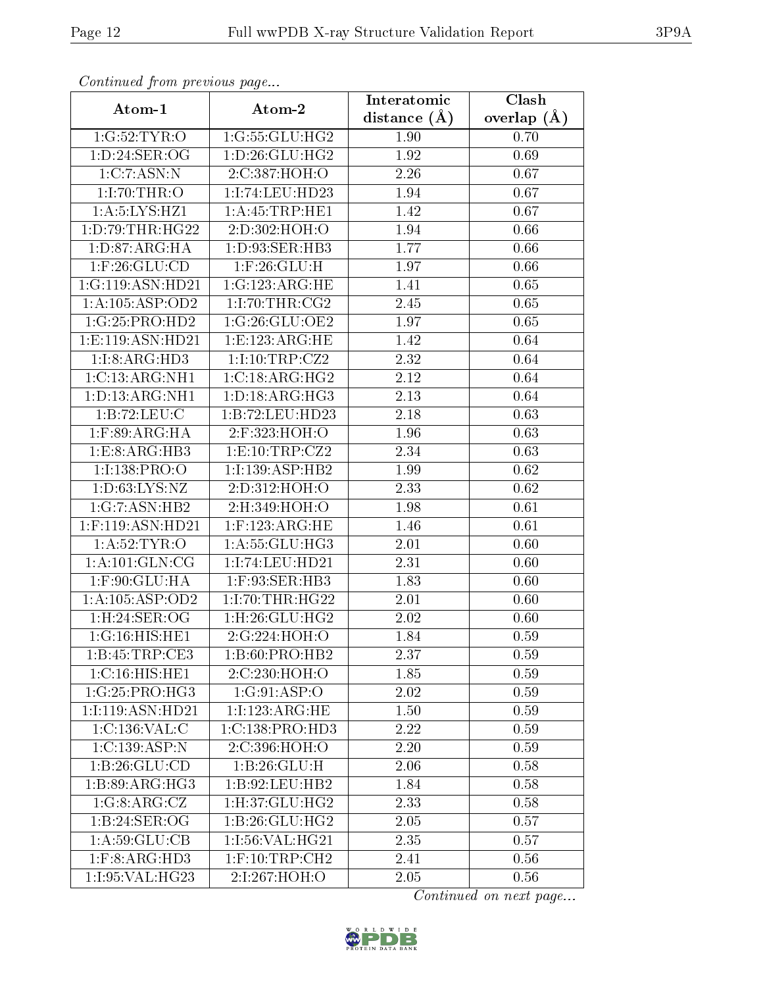| Continuata from previous page |                               | Interatomic    | Clash         |
|-------------------------------|-------------------------------|----------------|---------------|
| Atom-1                        | Atom-2                        | distance $(A)$ | overlap $(A)$ |
| 1:G:52:TYR:O                  | 1:G:55:GLU:HG2                | 1.90           | 0.70          |
| 1: D:24: SER:OG               | $1: D:26: \overline{GLU:HG2}$ | 1.92           | 0.69          |
| 1:C:7:ASN:N                   | 2:C:387:HOH:O                 | 2.26           | 0.67          |
| 1:1:70:THR:O                  | 1:I:74:LEU:HD23               | 1.94           | 0.67          |
| 1: A: 5: LYS: HZ1             | 1: A:45:TRP:HE1               | 1.42           | 0.67          |
| 1: D:79:THR:HG22              | 2:D:302:HOH:O                 | 1.94           | 0.66          |
| 1: D:87: ARG:HA               | 1: D: 93: SER: HB3            | 1.77           | 0.66          |
| $1:$ F:26: $GLU$ :CD          | $1:$ $F:26:$ $GLU:$ $H$       | 1.97           | 0.66          |
| 1:G:119:ASN:HD21              | 1:G:123:ARG:HE                | 1.41           | 0.65          |
| 1:A:105:ASP:OD2               | 1:1:70:THR:CG2                | 2.45           | 0.65          |
| 1:G:25:PRO:HD2                | 1:G:26:GLU:OE2                | 1.97           | 0.65          |
| 1:E:119:ASN:HD21              | 1: E: 123: ARG: HE            | 1.42           | 0.64          |
| 1:1:8:ARG:HD3                 | 1:1:10:TRP:CZ2                | 2.32           | 0.64          |
| 1:C:13:ARG:NH1                | 1:C:18:ARG:HG2                | 2.12           | 0.64          |
| 1: D: 13: ARG: NH1            | 1: D: 18: ARG: HG3            | 2.13           | 0.64          |
| 1:B:72:LEU:C                  | 1:B:72:LEU:HD23               | 2.18           | 0.63          |
| $1:$ F:89:ARG:HA              | 2:F:323:HOH:O                 | 1.96           | 0.63          |
| 1:E:8:ARG:HB3                 | 1: E: 10: TRP: CZ2            | 2.34           | 0.63          |
| 1:I:138:PRO:O                 | 1:I:139:ASP:HB2               | 1.99           | 0.62          |
| 1: D:63: LYS: NZ              | 2:D:312:HOH:O                 | 2.33           | 0.62          |
| 1:G:7:ASN:HB2                 | 2:H:349:HOH:O                 | 1.98           | 0.61          |
| $1:$ F:119:ASN:HD21           | $1:$ F:123:ARG:HE             | 1.46           | 0.61          |
| 1: A:52:TYR:O                 | 1: A:55: GLU:HG3              | 2.01           | 0.60          |
| 1: A: 101: GLN: CG            | 1:I:74:LEU:HD21               | 2.31           | 0.60          |
| $1:$ F:90:GLU:HA              | 1:F:93:SER:HB3                | 1.83           | 0.60          |
| 1:A:105:ASP:OD2               | 1:1:70:THR:HG22               | 2.01           | 0.60          |
| 1:H:24:SER:OG                 | $1:$ H $:26:$ GLU $:$ H $G2$  | 2.02           | 0.60          |
| $1:G:16:HI\overline{S:HE1}$   | 2:G:224:HOH:O                 | 1.84           | 0.59          |
| 1:B:45:TRP:CE3                | 1: B:60: PRO:HB2              | 2.37           | 0.59          |
| 1:C:16:HIS:HE1                | 2:C:230:HOH:O                 | 1.85           | 0.59          |
| 1:G:25:PRO:HG3                | 1:G:91:ASP:O                  | 2.02           | 0.59          |
| 1:1:119:ASN:HD21              | 1:1:123:ARG:HE                | 1.50           | 0.59          |
| 1:C:136:VAL:CC                | 1:C:138:PRO:HD3               | 2.22           | 0.59          |
| 1:C:139:ASP:N                 | 2:C:396:HOH:O                 | 2.20           | 0.59          |
| 1:B:26:GLU:CD                 | 1:B:26:GLU:H                  | 2.06           | 0.58          |
| 1:B:89:ARG:HG3                | 1:B:92:LEU:HB2                | 1.84           | 0.58          |
| 1:G:8:ARG:CZ                  | $1:$ H $:37:$ GLU $:$ H $G2$  | 2.33           | 0.58          |
| 1: B:24: SER:OG               | 1:B:26:GLU:HG2                | 2.05           | 0.57          |
| 1: A:59: GLU:CB               | 1:1:56:VAL:HG21               | 2.35           | 0.57          |
| 1: F: 8: ARG: HD3             | $1:$ F:10:TRP:CH2             | 2.41           | 0.56          |
| 1:I:95:VAL:HG23               | 2:I:267:HOH:O                 | 2.05           | 0.56          |

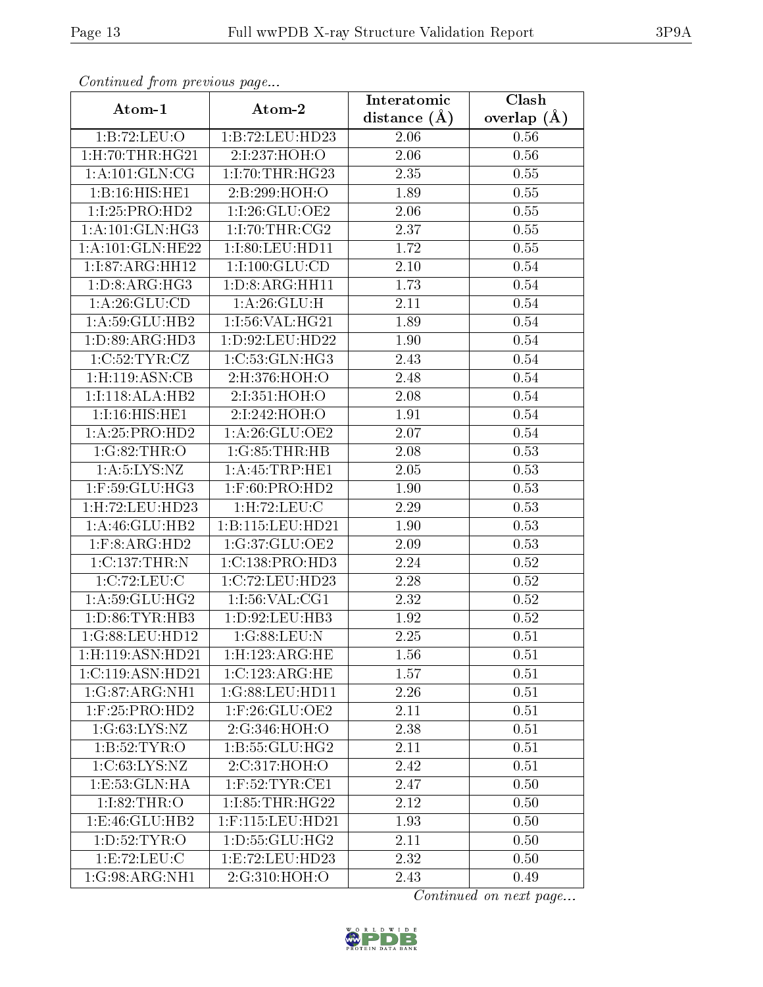| Continuea from previous page  |                            | Interatomic    | Clash         |  |
|-------------------------------|----------------------------|----------------|---------------|--|
| Atom-1                        | Atom-2                     | distance $(A)$ | overlap $(A)$ |  |
| 1:B:72:LEU:O                  | 1:B:72:LEU:HD23            | 2.06           | 0.56          |  |
| $1:$ H $:70:$ THR $:$ H $G21$ | 2:I:237:HOH:O              | 2.06           | 0.56          |  |
| 1: A: 101: GLN: CG            | 1:1:70:THR:HG23            | 2.35           | 0.55          |  |
| 1:B:16:HIS:HE1                | 2:B:299:HOH:O              | 1.89           | 0.55          |  |
| 1:I:25:PRO:HD2                | 1:I:26:GLU:OE2             | 2.06           | 0.55          |  |
| 1: A:101: GLN:HG3             | 1:1:70:THR:CG2             | 2.37           | 0.55          |  |
| 1:A:101:GLN:HE22              | 1:I:80:LEU:HD11            | 1.72           | 0.55          |  |
| 1:I:87:ARG:HH12               | 1:1:100:GLU:CD             | 2.10           | 0.54          |  |
| 1: D: 8: ARG: HG3             | 1: D: 8: ARG: HH11         | 1.73           | 0.54          |  |
| 1:A:26:GLU:CD                 | 1:A:26:GLU:H               | 2.11           | 0.54          |  |
| 1: A:59: GLU:HB2              | 1:1:56:VAL:HG21            | 1.89           | 0.54          |  |
| 1:D:89:ARG:HD3                | 1: D:92: LEU:HD22          | 1.90           | 0.54          |  |
| 1:C:52:TYR:CZ                 | 1:C:53:GLN:HG3             | 2.43           | 0.54          |  |
| $1:$ H:119:ASN:CB             | 2:H:376:HOH:O              | 2.48           | 0.54          |  |
| 1:I:118:ALA:HB2               | 2:I:351:HOH:O              | 2.08           | 0.54          |  |
| 1:1:16:HIS:HE1                | 2:I:242:HOH:O              | 1.91           | 0.54          |  |
| 1: A:25: PRO:HD2              | 1:A:26:GLU:OE2             | 2.07           | 0.54          |  |
| 1:G:82:THR:O                  | 1:G:85:THR:HB              | 2.08           | 0.53          |  |
| 1: A: 5: LYS: NZ              | 1:A:45:TRP:HE1             | 2.05           | 0.53          |  |
| $1:$ F:59: $GLU$ :HG3         | $1:$ F:60:PRO:HD2          | 1.90           | 0.53          |  |
| 1:H:72:LEU:HD23               | 1: H: 72: LEU: C           | 2.29           | 0.53          |  |
| 1: A:46: GLU:HB2              | 1:B:115:LEU:HD21           | 1.90           | 0.53          |  |
| $1:$ F:8:ARG:HD2              | 1:G:37:GLU:OE2             | 2.09           | 0.53          |  |
| 1:C:137:THR:N                 | 1:C:138:PRO:HD3            | 2.24           | 0.52          |  |
| 1:C:72:LEU:C                  | 1:C:72:LEU:HD23            | 2.28           | 0.52          |  |
| 1: A:59: GLU: HG2             | 1:1:56:VAL:CG1             | 2.32           | 0.52          |  |
| 1: D:86: TYR:HB3              | 1:D:92:LEU:HB3             | 1.92           | 0.52          |  |
| 1:G:88:LEU:HD12               | 1:G:88:LEU:N               | 2.25           | 0.51          |  |
| 1:H:119:ASN:HD21              | $1:$ H:123:ARG:HE          | 1.56           | 0.51          |  |
| 1:C:119:ASN:HD21              | 1:C:123:ARG:HE             | 1.57           | 0.51          |  |
| 1:G:87:ARG:NH1                | 1:G:88:LEU:HD11            | 2.26           | 0.51          |  |
| $1:$ F:25:PRO:HD2             | 1:F:26:GLU:OE2             | 2.11           | 0.51          |  |
| 1:G:63:LYS:NZ                 | 2:G:346:HOH:O              | 2.38           | 0.51          |  |
| 1:B:52:TYR:O                  | 1:B:55:GLU:HG2             | 2.11           | 0.51          |  |
| 1:C:63:LYS:NZ                 | 2:C:317:HOH:O              | 2.42           | 0.51          |  |
| 1: E: 53: GLN: HA             | $1:$ F:52:TYR:CE1          | 2.47           | 0.50          |  |
| 1:1:82:THR:O                  | 1:1:85:THR:HG22            | 2.12           | 0.50          |  |
| 1:E:46:GLU:HB2                | 1:F:115:LEU:HD21           | 1.93           | 0.50          |  |
| 1: D:52: TYR:O                | 1: D: 55: GLU: HG2         | 2.11           | 0.50          |  |
| 1:E:72:LEU:C                  | 1:E:72:LEU:HD23            | 2.32           | 0.50          |  |
| $1:G:98:ARG:\overline{NH1}$   | $2:G:310:\overline{HOH:O}$ | 2.43           | 0.49          |  |

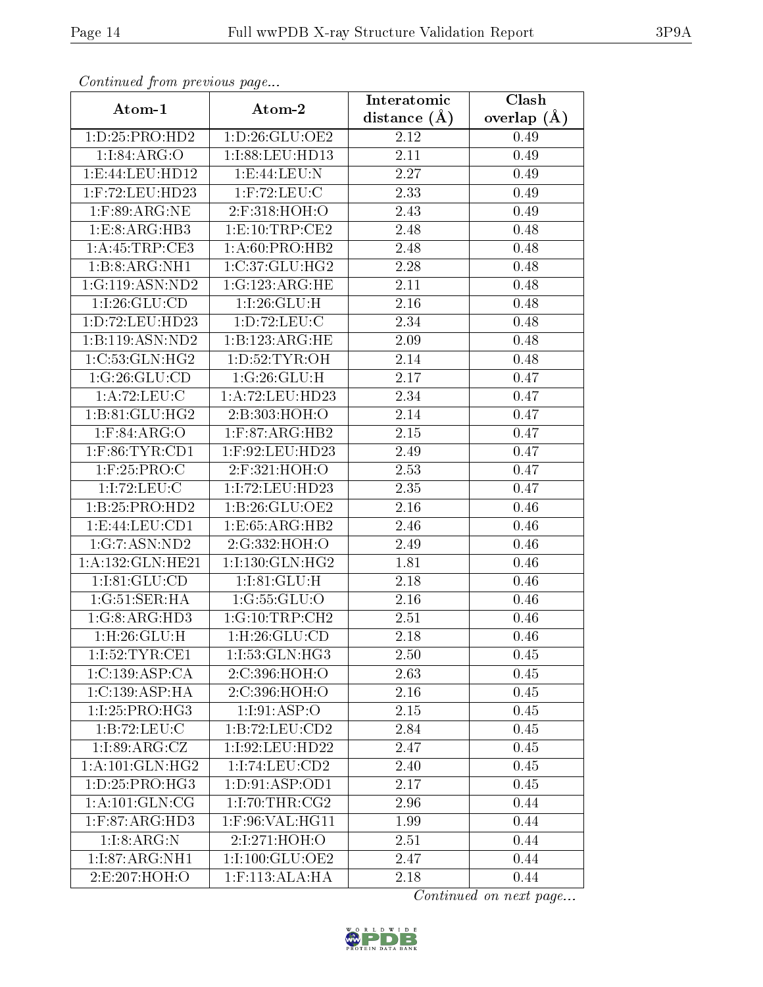| Comunaca jiom previous page |                    | Interatomic    | Clash         |  |
|-----------------------------|--------------------|----------------|---------------|--|
| Atom-1                      | Atom-2             | distance $(A)$ | overlap $(A)$ |  |
| 1: D: 25: PRO: HD2          | 1: D:26: GLU:OE2   | 2.12           | 0.49          |  |
| 1:I:84:ARG:O                | 1:I:88:LEU:HD13    | 2.11           | 0.49          |  |
| 1: E: 44: LEU: HD12         | 1:E:44:LEU:N       | 2.27           | 0.49          |  |
| $1:$ F:72:LEU:HD23          | $1:$ F:72:LEU:C    | 2.33           | 0.49          |  |
| $1:$ F:89:ARG:NE            | 2:F:318:HOH:O      | 2.43           | 0.49          |  |
| 1:E:8:ARG:HB3               | 1: E: 10: TRP: CE2 | 2.48           | 0.48          |  |
| 1: A: 45: TRP: CE3          | 1: A:60:PRO:HB2    | 2.48           | 0.48          |  |
| 1:B:8:ARG:NH1               | 1:C:37:GLU:HG2     | 2.28           | 0.48          |  |
| 1:G:119:ASN:ND2             | 1:G:123:ARG:HE     | 2.11           | 0.48          |  |
| 1:1:26:GLU:CD               | 1:1:26:GLU:H       | 2.16           | 0.48          |  |
| 1:D:72:LEU:HD23             | 1: D: 72: LEU: C   | 2.34           | 0.48          |  |
| 1:B:119:ASN:ND2             | 1:B:123:ARG:HE     | 2.09           | 0.48          |  |
| 1:C:53:GLN:HG2              | 1: D:52: TYR: OH   | 2.14           | 0.48          |  |
| 1:G:26:GLU:CD               | 1:G:26:GLU:H       | 2.17           | 0.47          |  |
| 1:A:72:LEU:C                | 1:A:72:LEU:HD23    | 2.34           | 0.47          |  |
| 1:B:81:GLU:HG2              | 2:B:303:HOH:O      | 2.14           | 0.47          |  |
| $1:$ F:84:ARG:O             | $1:$ F:87:ARG:HB2  | 2.15           | 0.47          |  |
| $1:$ F:86:TYR:CD1           | 1:F:92:LEU:HD23    | 2.49           | 0.47          |  |
| $1:$ F:25:PRO:C             | 2:F:321:HOH:O      | 2.53           | 0.47          |  |
| 1:1:72:LEU:C                | 1:I:72:LEU:HD23    | 2.35           | 0.47          |  |
| 1:B:25:PRO:HD2              | 1: B:26: GLU:OE2   | 2.16           | 0.46          |  |
| 1: E: 44: LEU: CD1          | 1:E:65:ARG:HB2     | 2.46           | 0.46          |  |
| 1:G:7:ASN:ND2               | 2:G:332:HOH:O      | 2.49           | 0.46          |  |
| 1:A:132:GLN:HE21            | 1:I:130:GLN:HG2    | 1.81           | 0.46          |  |
| 1:1:81:GLU:CD               | 1:1:81:GLU:H       | 2.18           | 0.46          |  |
| 1:G:51:SER:HA               | 1:G:55:GLU:O       | 2.16           | 0.46          |  |
| 1:G:8:ARG:HD3               | 1:G:10:TRP:CH2     | 2.51           | 0.46          |  |
| 1:H:26:GLU:H                | 1: H:26: GLU:CD    | 2.18           | 0.46          |  |
| 1:1:52:TYR:CE1              | 1:I:53:GLN:HG3     | 2.50           | 0.45          |  |
| 1:C:139:ASP:CA              | 2:C:396:HOH:O      | 2.63           | 0.45          |  |
| 1:C:139:ASP:HA              | 2:C:396:HOH:O      | 2.16           | 0.45          |  |
| 1:I:25:PRO:HG3              | 1:1:91:ASP:O       | 2.15           | 0.45          |  |
| 1:B:72:LEU:C                | 1: B: 72: LEU: CD2 | 2.84           | 0.45          |  |
| 1:1:89:ARG:CZ               | 1:I:92:LEU:HD22    | 2.47           | 0.45          |  |
| 1: A:101: GLN: HG2          | 1:I:74:LEU:CD2     | 2.40           | 0.45          |  |
| 1: D: 25: PRO:HG3           | 1: D: 91: ASP: OD1 | 2.17           | 0.45          |  |
| 1: A: 101: GLN: CG          | 1:1:70:THR:CG2     | 2.96           | 0.44          |  |
| $1:$ F:87:ARG:HD3           | 1:F:96:VAL:HG11    | 1.99           | 0.44          |  |
| 1:1:8:ARG:N                 | 2:I:271:HOH:O      | 2.51           | 0.44          |  |
| 1:1:87:ARG:NH1              | 1:1:100:GLU:OE2    | 2.47           | 0.44          |  |
| 2:E:207:HOH:O               | $1:$ F:113:ALA:HA  | 2.18           | 0.44          |  |

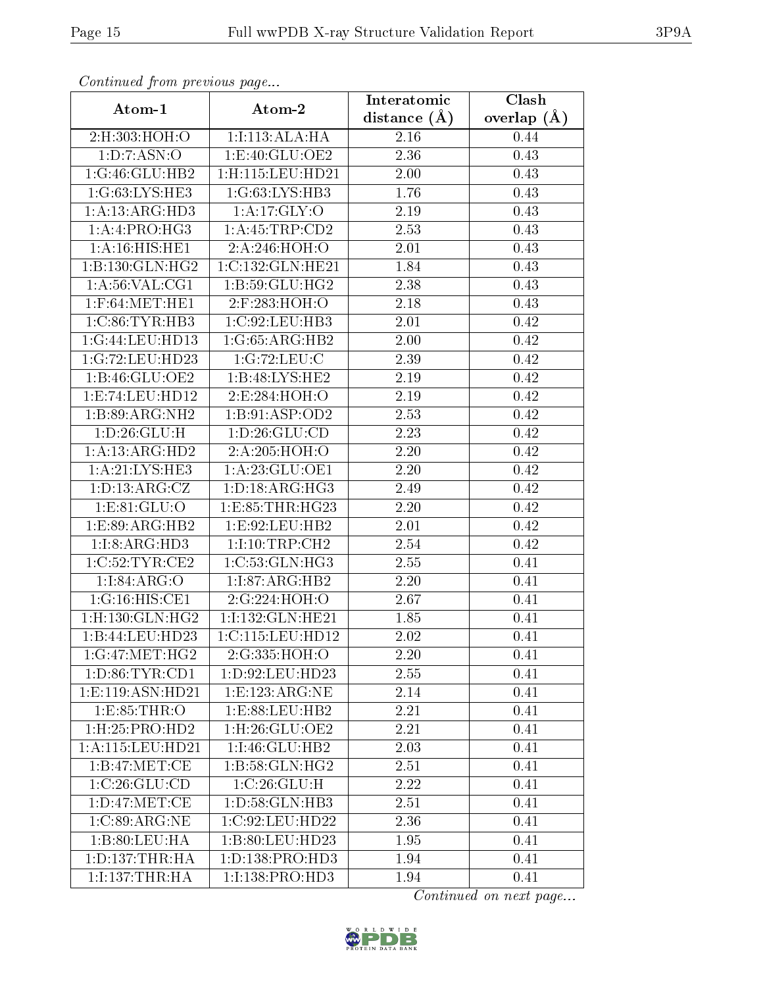| Continuea from previous page  |                             | Interatomic       | Clash           |  |
|-------------------------------|-----------------------------|-------------------|-----------------|--|
| Atom-1                        | Atom-2                      | distance $(A)$    | overlap $(\AA)$ |  |
| 2:H:303:HOH:O                 | 1:1:113:ALA:HA              | 2.16              | 0.44            |  |
| 1:D:7:ASN:O                   | 1:E:40:GLU:OE2              | 2.36              | 0.43            |  |
| 1:G:46:GLU:HB2                | 1:H:115:LEU:HD21            | 2.00              | 0.43            |  |
| 1:G:63:LYS:HE3                | 1:G:63:LYS:HB3              | 1.76              | 0.43            |  |
| 1:A:13:ARG:HD3                | 1: A:17: GLY:O              | $2.19\,$          | 0.43            |  |
| 1:A:1:PRO:HG3                 | 1:A:45:TRP:CD2              | 2.53              | 0.43            |  |
| 1: A:16: HIS: HE1             | 2:A:246:HOH:O               | 2.01              | 0.43            |  |
| 1:B:130:GLN:HG2               | 1:C:132:GLN:HE21            | 1.84              | 0.43            |  |
| 1: A:56: VAL:CG1              | 1:B:59:GLU:HG2              | 2.38              | 0.43            |  |
| $1:$ F:64:MET:HE $1$          | 2:F:283:HOH:O               | 2.18              | 0.43            |  |
| 1:C:86:TYR:HB3                | 1:C:92:LEU:HB3              | 2.01              | 0.42            |  |
| 1:G:44:LEU:HD13               | 1:G:65:ARG:HB2              | 2.00              | 0.42            |  |
| 1:G:72:LEU:HD23               | 1:G:72:LEU:C                | 2.39              | 0.42            |  |
| 1:B:46:GLU:OE2                | 1:B:48:LYS:HE2              | 2.19              | 0.42            |  |
| 1:E:74:LEU:HD12               | 2:E:284:HOH:O               | 2.19              | 0.42            |  |
| 1:B:89:ARG:NH2                | 1:B:91:ASP:OD2              | 2.53              | 0.42            |  |
| 1: D: 26: GLU: H              | 1: D:26: GLU:CD             | 2.23              | 0.42            |  |
| 1:A:13:ARG:HD2                | 2:A:205:HOH:O               | 2.20              | 0.42            |  |
| 1: A:21:LYS:HE3               | 1: A:23: GLU:OE1            | $\overline{2.20}$ | 0.42            |  |
| 1: D: 13: ARG: CZ             | 1: D: 18: ARG: HG3          | 2.49              | 0.42            |  |
| 1: E: 81: GLU: O              | 1:E:85:THR:HG23             | 2.20              | 0.42            |  |
| 1: E:89: ARG: HB2             | 1:E:92:LEU:HB2              | 2.01              | 0.42            |  |
| 1:1:8:ARG:HD3                 | 1:1:10:TRP:CH2              | 2.54              | 0.42            |  |
| 1:C:52:TYR:CE2                | 1:C:53:GLN:HG3              | 2.55              | 0.41            |  |
| 1:1:84:ARG:O                  | 1:I:87:ARG:HB2              | 2.20              | 0.41            |  |
| 1:G:16:HIS:CE1                | 2:G:224:HOH:O               | 2.67              | 0.41            |  |
| $1:$ H $:130:$ GLN $:$ H $G2$ | 1:I:132:GLN:HE21            | 1.85              | 0.41            |  |
| 1:B:44:LEU:HD23               | 1:C:115:LEU:HD12            | 2.02              | 0.41            |  |
| 1:G:47:MET:HG2                | 2:G:335:HOH:O               | 2.20              | 0.41            |  |
| 1: D:86: TYR:CD1              | 1: D:92: LEU:HD23           | 2.55              | 0.41            |  |
| 1: E: 119: ASN: HD21          | 1: E: 123: ARG: NE          | 2.14              | 0.41            |  |
| 1:E:85:THR:O                  | 1: E: 88: LEU: HB2          | 2.21              | 0.41            |  |
| 1:H:25:PRO:HD2                | 1:H:26:GLU:OE2              | 2.21              | 0.41            |  |
| 1:A:115:LEU:HD21              | 1:I:46:GLU:HB2              | 2.03              | 0.41            |  |
| 1:B:47:MET:CE                 | $1:B:58:GLN:H\overline{G2}$ | 2.51              | 0.41            |  |
| 1:C:26:GLU:CD                 | 1:C:26:GLU:H                | 2.22              | 0.41            |  |
| 1: D: 47: MET: CE             | 1:D:58:GLN:HB3              | 2.51              | 0.41            |  |
| 1:C:89:ARG:NE                 | 1:C:92:LEU:HD22             | 2.36              | 0.41            |  |
| 1: B:80: LEU: HA              | 1:B:80:LEU:HD23             | 1.95              | 0.41            |  |
| 1: D: 137: THR: HA            | 1:D:138:PRO:HD3             | 1.94              | 0.41            |  |
| 1:1:137:THR:HA                | 1:I:138:PRO:HD3             | 1.94              | 0.41            |  |

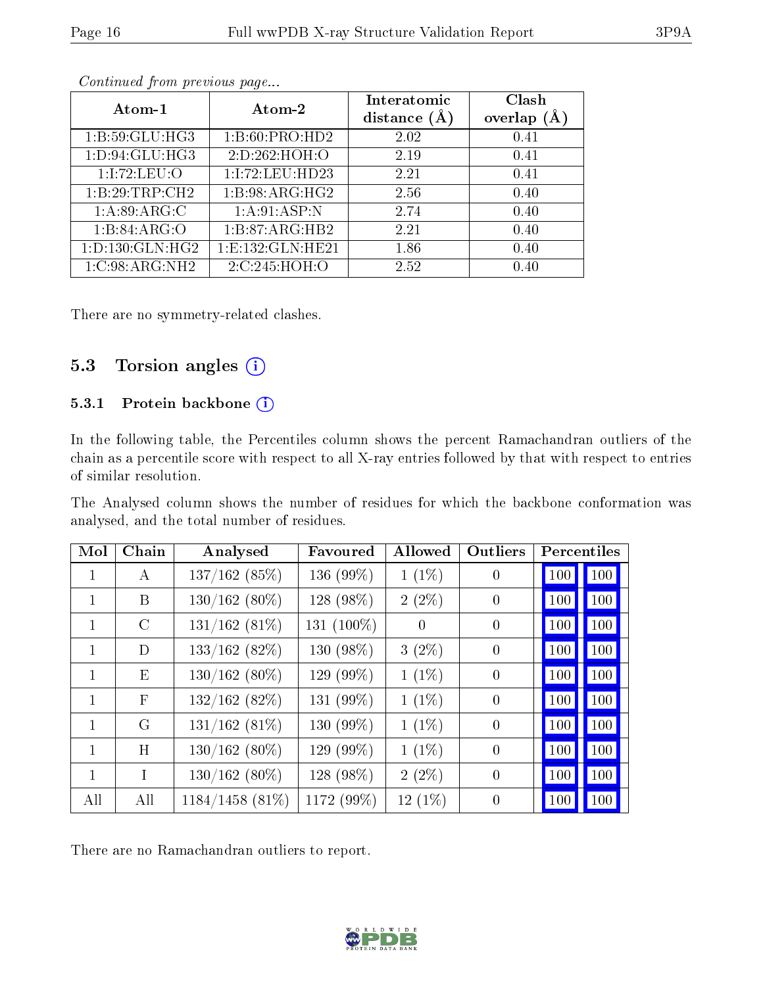|--|

| Atom-1              | Atom-2               | Interatomic<br>distance $(A)$ | Clash<br>overlap<br>(A) |
|---------------------|----------------------|-------------------------------|-------------------------|
| 1: B:59: GLU: HG3   | 1: B:60: PRO:HD2     | 2.02                          | 0.41                    |
| 1: D: 94: GLU: HG3  | 2:D:262:HOH:O        | 2.19                          | 0.41                    |
| 1:1:72:LEU:O        | 1:1:72:LEU:HD23      | 2.21                          | 0.41                    |
| 1:B:29:TRP:CH2      | 1:B:98:ARG:HG2       | 2.56                          | 0.40                    |
| 1: A:89: ARG:C      | 1: A:91: ASP: N      | 2.74                          | 0.40                    |
| 1:B:84:ARG:O        | 1:B:87:ARG:HB2       | 2.21                          | 0.40                    |
| 1: D: 130: GLN: HG2 | 1: E: 132: GLN: HE21 | 1.86                          | 0.40                    |
| 1:C:98:ARG:NH2      | 2:C:245:HOH:O        | 2.52                          | 0.40                    |

There are no symmetry-related clashes.

#### 5.3 Torsion angles  $(i)$

#### 5.3.1 Protein backbone (i)

In the following table, the Percentiles column shows the percent Ramachandran outliers of the chain as a percentile score with respect to all X-ray entries followed by that with respect to entries of similar resolution.

The Analysed column shows the number of residues for which the backbone conformation was analysed, and the total number of residues.

| Mol          | Chain        | Analysed           | Favoured   | Allowed   | Outliers       |     | Percentiles |
|--------------|--------------|--------------------|------------|-----------|----------------|-----|-------------|
| $\mathbf{1}$ | A            | 137/162(85%)       | 136 (99%)  | $1(1\%)$  | $\overline{0}$ | 100 | 100         |
| $\mathbf{1}$ | B            | $130/162(80\%)$    | 128 (98%)  | $2(2\%)$  | $\Omega$       | 100 | 100         |
| 1            | $\rm C$      | $131/162(81\%)$    | 131 (100%) | $\Omega$  | $\theta$       | 100 | 100         |
| 1            | D            | $133/162$ (82%)    | 130 (98%)  | $3(2\%)$  | $\theta$       | 100 | 100         |
| $\mathbf{1}$ | Ε            | $130/162(80\%)$    | 129 (99%)  | $1(1\%)$  | $\theta$       | 100 | 100         |
| 1            | $\mathbf{F}$ | 132/162(82%)       | 131 (99%)  | $1(1\%)$  | $\theta$       | 100 | 100         |
| $\mathbf{1}$ | G            | $131/162(81\%)$    | 130 (99%)  | $1(1\%)$  | $\theta$       | 100 | 100         |
| 1            | H            | $130/162(80\%)$    | 129 (99%)  | $1(1\%)$  | $\theta$       | 100 | 100         |
| 1            | $\mathsf{T}$ | $130/162(80\%)$    | 128 (98%)  | $2(2\%)$  | $\theta$       | 100 | 100         |
| All          | All          | $1184/1458$ (81\%) | 1172 (99%) | $12(1\%)$ | $\overline{0}$ | 100 | 100         |

There are no Ramachandran outliers to report.

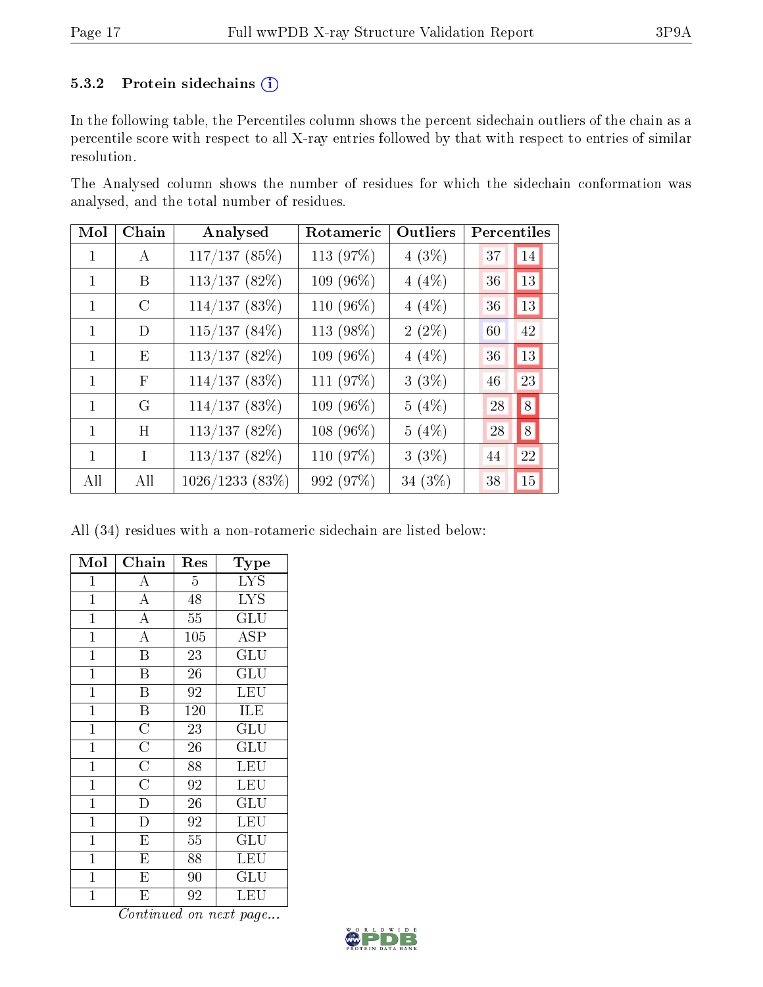#### 5.3.2 Protein sidechains (i)

In the following table, the Percentiles column shows the percent sidechain outliers of the chain as a percentile score with respect to all X-ray entries followed by that with respect to entries of similar resolution.

The Analysed column shows the number of residues for which the sidechain conformation was analysed, and the total number of residues.

| Mol          | Chain         | Analysed          | Rotameric    | Outliers | Percentiles  |
|--------------|---------------|-------------------|--------------|----------|--------------|
| 1            | A             | 117/137(85%)      | 113 (97%)    | $4(3\%)$ | 14<br>37     |
| 1            | B             | 113/137(82%)      | 109 $(96\%)$ | $4(4\%)$ | 13<br>36     |
| 1            | $\mathcal{C}$ | 114/137(83%)      | 110 (96%)    | 4(4%)    | 13<br>36     |
| $\mathbf{1}$ | D             | $115/137(84\%)$   | 113 (98%)    | $2(2\%)$ | 42<br>$60\,$ |
| $\mathbf{1}$ | E             | 113/137(82%)      | 109 (96%)    | $4(4\%)$ | 13<br>36     |
| $\mathbf{1}$ | $\mathbf{F}$  | 114/137(83%)      | 111 (97%)    | $3(3\%)$ | 46<br>23     |
| 1            | G             | 114/137(83%)      | 109 (96%)    | $5(4\%)$ | 8 <br>28     |
| 1            | H             | 113/137(82%)      | $108(96\%)$  | 5(4%)    | 8 <br>28     |
| 1            | T             | 113/137(82%)      | 110 (97%)    | $3(3\%)$ | 22<br>44     |
| All          | All           | $1026/1233$ (83%) | 992 (97%)    | 34 (3%)  | 15<br>38     |

All (34) residues with a non-rotameric sidechain are listed below:

| Mol            | Chain                   | Res             | Type                      |
|----------------|-------------------------|-----------------|---------------------------|
| $\mathbf 1$    | A                       | 5               | <b>LYS</b>                |
| $\mathbf 1$    | $\overline{A}$          | 48              | <b>LYS</b>                |
| $\overline{1}$ | $\overline{A}$          | 55              | $\overline{\mathrm{GLU}}$ |
| $\overline{1}$ | $\overline{A}$          | 105             | $\overline{\text{ASP}}$   |
| $\overline{1}$ | $\overline{\mathrm{B}}$ | 23              | $\mathrm{GLU}$            |
| $\mathbf 1$    | $\overline{\mathrm{B}}$ | $\overline{2}6$ | $\overline{{\rm GLU}}$    |
| $\mathbf{1}$   | B                       | 92              | LEU                       |
| $\mathbf 1$    | $\overline{\mathrm{B}}$ | 120             | ILE                       |
| $\mathbf 1$    | $\overline{\rm C}$      | 23              | GLU                       |
| $\mathbf{1}$   | $\overline{C}$          | 26              | GLU                       |
| $\mathbf 1$    | $\overline{C}$          | 88              | LEU                       |
| $\mathbf 1$    | $\overline{\rm C}$      | 92              | LEU                       |
| $\mathbf 1$    | $\overline{\text{D}}$   | 26              | GLU                       |
| $\mathbf 1$    | D                       | 92              | LEU                       |
| $\mathbf 1$    | $\overline{\mathrm{E}}$ | 55              | GLU                       |
| $\mathbf 1$    | E                       | 88              | LEU                       |
| $\mathbf{1}$   | E                       | 90              | $\operatorname{GLU}$      |
| $\mathbf 1$    | E                       | 92              | LEU                       |

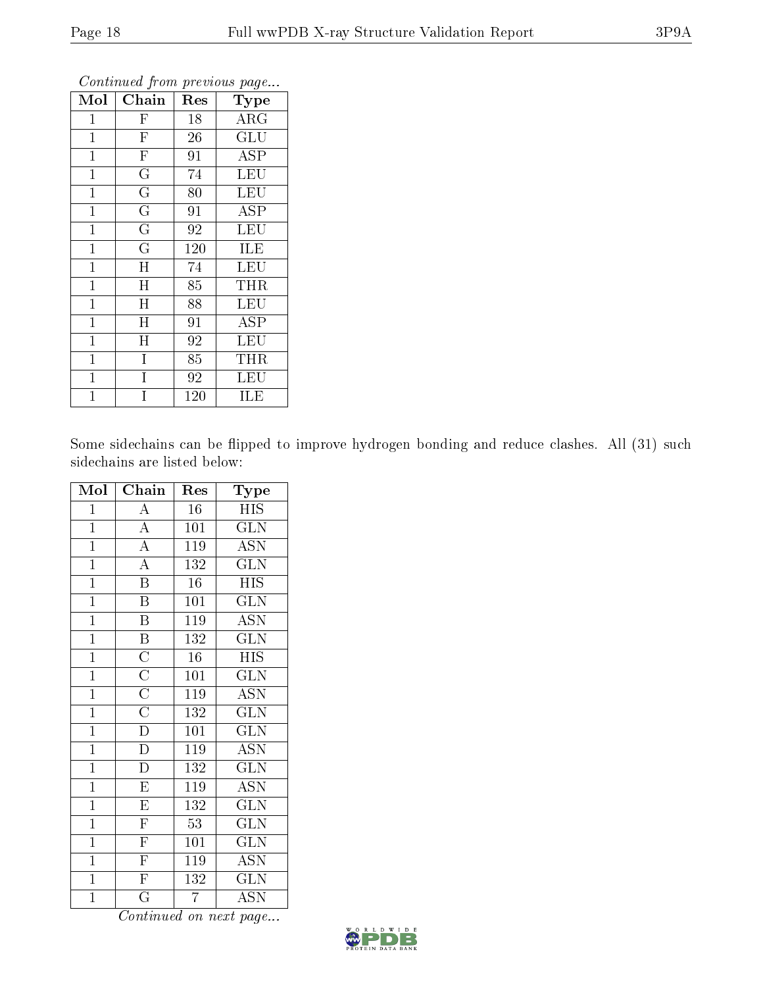| Mol          | Chain                   | Res | Type                    |
|--------------|-------------------------|-----|-------------------------|
| 1            | $\overline{\mathrm{F}}$ | 18  | $\overline{\text{ARG}}$ |
| $\mathbf{1}$ | $\overline{F}$          | 26  | GLU                     |
| $\mathbf{1}$ | $\overline{F}$          | 91  | $\overline{\text{ASP}}$ |
| $\mathbf 1$  | $\overline{\mathrm{G}}$ | 74  | LEU                     |
| $\mathbf 1$  | $\overline{\mathrm{G}}$ | 80  | LEU                     |
| $\mathbf{1}$ | $\overline{G}$          | 91  | <b>ASP</b>              |
| $\mathbf 1$  | $\overline{G}$          | 92  | LEU                     |
| $\mathbf{1}$ | $\overline{\mathrm{G}}$ | 120 | ILE                     |
| $\mathbf{1}$ | H                       | 74  | <b>LEU</b>              |
| $\mathbf 1$  | Η                       | 85  | THR                     |
| $\mathbf{1}$ | $\mathbf H$             | 88  | LEU                     |
| $\mathbf{1}$ | $\mathbf H$             | 91  | <b>ASP</b>              |
| $\mathbf 1$  | $\overline{H}$          | 92  | LEU                     |
| $\mathbf{1}$ | $\overline{I}$          | 85  | THR                     |
| 1            | Ī                       | 92  | LEU                     |
| 1            | Ι                       | 120 | ILE                     |

Some sidechains can be flipped to improve hydrogen bonding and reduce clashes. All (31) such sidechains are listed below:

| Mol            | Chain                                                                                                | Res              | Type                      |
|----------------|------------------------------------------------------------------------------------------------------|------------------|---------------------------|
| $\mathbf 1$    | $\overline{A}$                                                                                       | 16               | <b>HIS</b>                |
| $\overline{1}$ | $\overline{A}$                                                                                       | 101              | $\overline{\text{GLN}}$   |
| $\overline{1}$ | $\frac{1}{\mathbf{A}}$                                                                               | 119              | $\overline{\text{ASN}}$   |
| $\mathbf{1}$   | $\overline{A}$                                                                                       | 132              | $\overline{\text{GLN}}$   |
| $\overline{1}$ | $\overline{\mathrm{B}}$                                                                              | $\overline{16}$  | $\overline{\mathrm{HIS}}$ |
| $\overline{1}$ | $\overline{\mathbf{B}}$                                                                              | 101              | $\overline{\text{GLN}}$   |
| $\overline{1}$ | $\overline{\mathrm{B}}$                                                                              | 119              | <b>ASN</b>                |
| $\overline{1}$ | $\overline{B}$                                                                                       | 132              | $\overline{\text{GLN}}$   |
| $\overline{1}$ | $\frac{\overline{\text{C}}}{\overline{\text{C}}}}$ $\frac{\overline{\text{C}}}{\overline{\text{C}}}$ | $\overline{16}$  | <b>HIS</b>                |
| $\overline{1}$ |                                                                                                      | $\overline{101}$ | $\overline{\text{GLN}}$   |
| $\overline{1}$ |                                                                                                      | 119              | <b>ASN</b>                |
| $\overline{1}$ |                                                                                                      | 132              | $\overline{\text{GLN}}$   |
| $\overline{1}$ | $\overline{D}$                                                                                       | 101              | $\overline{\text{GLN}}$   |
| $\overline{1}$ | $\frac{\overline{D}}{D}$                                                                             | 119              | <b>ASN</b>                |
| $\overline{1}$ |                                                                                                      | 132              | $\overline{\text{GLN}}$   |
| $\overline{1}$ | $\overline{\mathrm{E}}$                                                                              | 119              | $\overline{\text{ASN}}$   |
| $\overline{1}$ | $\overline{\mathrm{E}}$                                                                              | 132              | $\overline{\text{GLN}}$   |
| $\overline{1}$ | $\overline{\mathrm{F}}$                                                                              | $\overline{53}$  | $\overline{\text{GLN}}$   |
| $\overline{1}$ | $\overline{\mathrm{F}}$                                                                              | $\overline{101}$ | $\overline{\text{GLN}}$   |
| $\overline{1}$ | $\overline{F}$                                                                                       | 119              | $\overline{\mathrm{ASN}}$ |
| $\overline{1}$ | $\overline{\mathrm{F}}$                                                                              | 132              | $\overline{\text{GLN}}$   |
| $\overline{1}$ | $\overline{\mathrm{G}}$                                                                              | $\overline{7}$   | $\operatorname{ASN}$      |

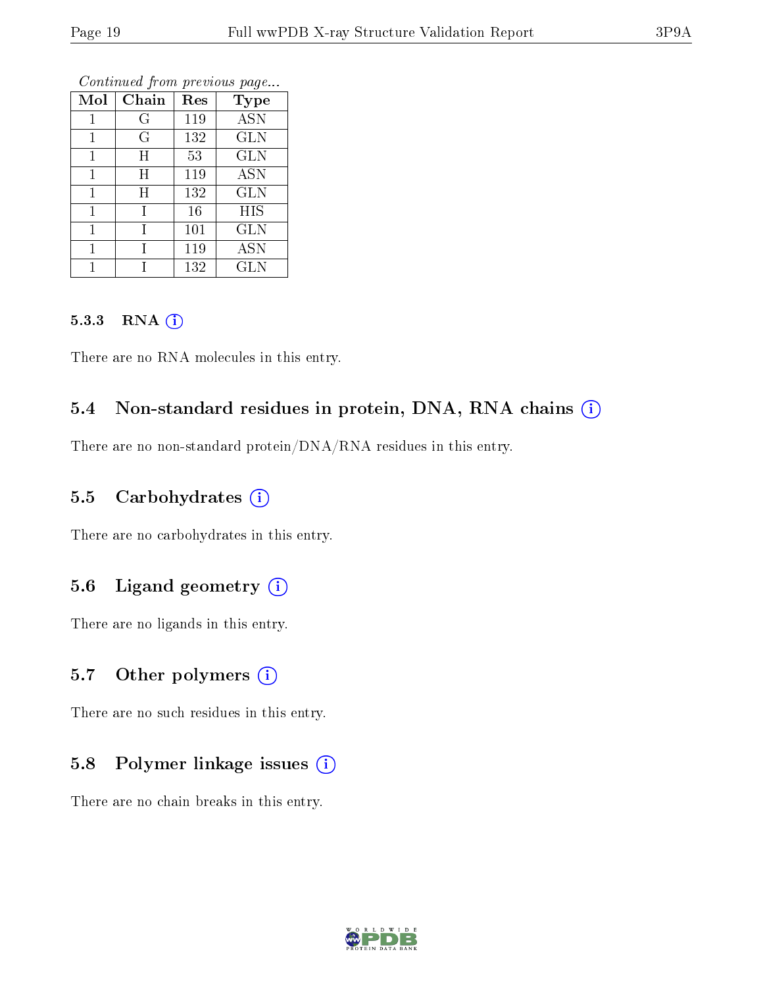| Mol | Chain   | Res | <b>Type</b> |
|-----|---------|-----|-------------|
| 1   | G       | 119 | <b>ASN</b>  |
| 1   | $\rm G$ | 132 | <b>GLN</b>  |
| 1   | H       | 53  | <b>GLN</b>  |
| 1   | H       | 119 | <b>ASN</b>  |
| 1   | Η       | 132 | <b>GLN</b>  |
| 1   | 1       | 16  | <b>HIS</b>  |
| 1   |         | 101 | <b>GLN</b>  |
|     |         | 119 | <b>ASN</b>  |
|     |         | 132 | <b>GLN</b>  |

#### 5.3.3 RNA (i)

There are no RNA molecules in this entry.

#### 5.4 Non-standard residues in protein, DNA, RNA chains  $(i)$

There are no non-standard protein/DNA/RNA residues in this entry.

#### 5.5 Carbohydrates  $(i)$

There are no carbohydrates in this entry.

#### 5.6 Ligand geometry  $(i)$

There are no ligands in this entry.

#### 5.7 [O](https://www.wwpdb.org/validation/2017/XrayValidationReportHelp#nonstandard_residues_and_ligands)ther polymers  $(i)$

There are no such residues in this entry.

#### 5.8 Polymer linkage issues  $(i)$

There are no chain breaks in this entry.

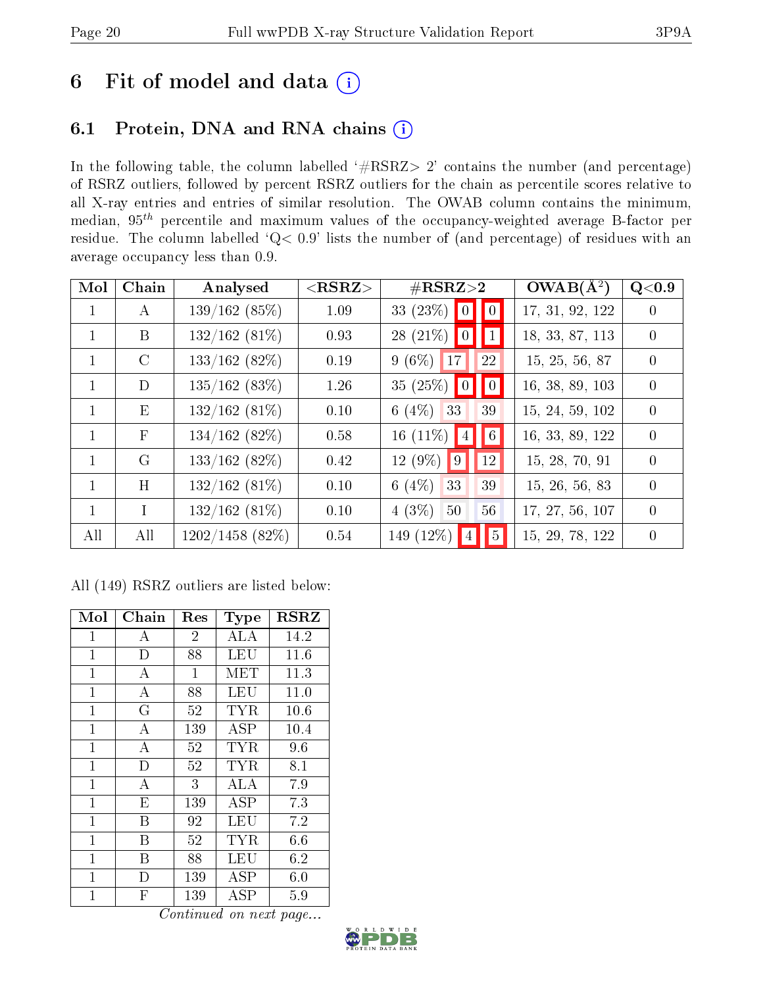## 6 Fit of model and data  $(i)$

## 6.1 Protein, DNA and RNA chains  $(i)$

In the following table, the column labelled  $#RSRZ> 2'$  contains the number (and percentage) of RSRZ outliers, followed by percent RSRZ outliers for the chain as percentile scores relative to all X-ray entries and entries of similar resolution. The OWAB column contains the minimum, median,  $95<sup>th</sup>$  percentile and maximum values of the occupancy-weighted average B-factor per residue. The column labelled ' $Q< 0.9$ ' lists the number of (and percentage) of residues with an average occupancy less than 0.9.

| Mol          | Chain         | Analysed           | ${ <\hspace{-1.5pt}{\mathrm{RSRZ}} \hspace{-1.5pt}>}$ | $\#\text{RSRZ}\text{>2}$         | $OWAB(A^2)$     | Q<0.9            |
|--------------|---------------|--------------------|-------------------------------------------------------|----------------------------------|-----------------|------------------|
| $\mathbf 1$  | A             | 139/162(85%)       | 1.09                                                  | 33 $(23\%)$ 0 0                  | 17, 31, 92, 122 |                  |
| $\mathbf{1}$ | B             | $132/162(81\%)$    | 0.93                                                  | $28(21\%)$ 0 1                   | 18, 33, 87, 113 | $\left( \right)$ |
| $\mathbf{1}$ | $\mathcal{C}$ | 133/162(82%)       | 0.19                                                  | $9(6\%)$ 17<br><sup>22</sup>     | 15, 25, 56, 87  | $\Omega$         |
| $\mathbf{1}$ | D             | 135/162(83%)       | 1.26                                                  | 35 (25%) $\boxed{0}$ $\boxed{0}$ | 16, 38, 89, 103 | $\left( \right)$ |
| $\mathbf{1}$ | E             | $132/162(81\%)$    | 0.10                                                  | 6 (4\%) 33<br>39                 | 15, 24, 59, 102 | $\Omega$         |
| 1            | $\mathbf F$   | 134/162(82%)       | 0.58                                                  | $16(11\%)$ 4 6                   | 16, 33, 89, 122 | $\Omega$         |
| $\mathbf{1}$ | G             | 133/162(82%)       | 0.42                                                  | $12(9\%)$ 9<br><sup>12</sup>     | 15, 28, 70, 91  | $\Omega$         |
| $\mathbf{1}$ | H             | $132/162(81\%)$    | 0.10                                                  | 6 $(4%)$<br>39<br>33             | 15, 26, 56, 83  | $\left( \right)$ |
| $\mathbf{1}$ | T             | $132/162(81\%)$    | 0.10                                                  | $4(3\%)$<br>56<br>50             | 17, 27, 56, 107 | $\Omega$         |
| All          | All           | $1202/1458$ (82\%) | 0.54                                                  | 149 $(12\%)$<br> 5               | 15, 29, 78, 122 | $\theta$         |

All (149) RSRZ outliers are listed below:

| Mol            | Chain            | Res            | Type                 | <b>RSRZ</b> |
|----------------|------------------|----------------|----------------------|-------------|
| $\mathbf{1}$   | А                | $\overline{2}$ | ALA                  | 14.2        |
| $\mathbf 1$    | D                | 88             | LEU                  | 11.6        |
| $\mathbf 1$    | А                | 1              | MET                  | 11.3        |
| $\mathbf{1}$   | А                | 88             | LEU                  | 11.0        |
| $\mathbf 1$    | G                | 52             | TYR.                 | 10.6        |
| $\mathbf{1}$   | $\overline{A}$   | 139            | $\rm \overline{A}SP$ | 10.4        |
| $\mathbf{1}$   | А                | 52             | TYR                  | 9.6         |
| $\mathbf{1}$   | D                | 52             | <b>TYR</b>           | 8.1         |
| $\overline{1}$ | $\boldsymbol{A}$ | 3              | ALA                  | 7.9         |
| $\mathbf 1$    | E                | 139            | ASP                  | 7.3         |
| $\mathbf 1$    | В                | 92             | LEU                  | 7.2         |
| $\mathbf{1}$   | B                | 52             | <b>TYR</b>           | 6.6         |
| 1              | В                | 88             | LEU                  | 6.2         |
| $\mathbf{1}$   | I)               | 139            | ASP                  | 6.0         |
| 1              | F                | 139            | ASP                  | 5.9         |

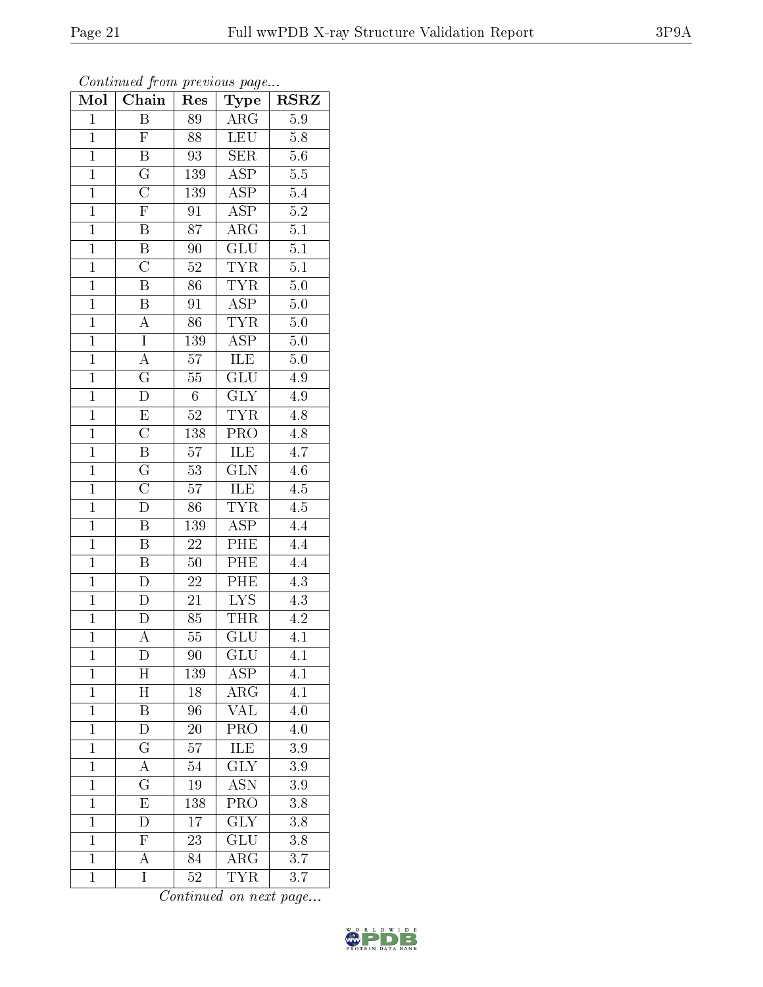| Continued from previous page |                         |                 |                         |                              |  |  |
|------------------------------|-------------------------|-----------------|-------------------------|------------------------------|--|--|
| $\overline{\text{Mol}}$      | Chain                   | Res             | <b>Type</b>             | $RS\overline{R}\overline{Z}$ |  |  |
| $\mathbf{1}$                 | Β                       | 89              | $\rm{ARG}$              | 5.9                          |  |  |
| $\overline{1}$               | $\overline{\mathrm{F}}$ | 88              | <b>LEU</b>              | $5.8\,$                      |  |  |
| $\mathbf{1}$                 | $\overline{\mathrm{B}}$ | 93              | $\overline{\text{SER}}$ | $\overline{5.6}$             |  |  |
| $\mathbf 1$                  | $\overline{\mathrm{G}}$ | 139             | <b>ASP</b>              | $5.5\,$                      |  |  |
| $\overline{1}$               | $\overline{\rm C}$      | 139             | $\overline{\text{ASP}}$ | 5.4                          |  |  |
| $\mathbf{1}$                 | $\overline{\mathrm{F}}$ | $\overline{91}$ | $\overline{\text{ASP}}$ | $\overline{5.2}$             |  |  |
| $\mathbf{1}$                 | $\overline{B}$          | 87              | $\rm{ARG}$              | $\overline{5.1}$             |  |  |
| $\overline{1}$               | $\overline{\mathbf{B}}$ | 90              | $\overline{\text{GLU}}$ | $\overline{5.1}$             |  |  |
| $\mathbf{1}$                 | $\overline{C}$          | $52\,$          | <b>TYR</b>              | 5.1                          |  |  |
| $\mathbf{1}$                 | $\overline{\mathrm{B}}$ | $\overline{86}$ | <b>TYR</b>              | $5.0\,$                      |  |  |
| $\overline{1}$               | $\, {\bf B}$            | 91              | <b>ASP</b>              | $5.0\,$                      |  |  |
| $\overline{1}$               | $\overline{\rm A}$      | $\overline{86}$ | <b>TYR</b>              | $\overline{5.0}$             |  |  |
| $\overline{1}$               | $\overline{I}$          | 139             | $\overline{\text{ASP}}$ | $5.0\,$                      |  |  |
| $\mathbf{1}$                 | A                       | 57              | ILE                     | $\overline{5.0}$             |  |  |
| $\overline{1}$               | $\overline{\mathrm{G}}$ | $55\,$          | $\overline{{\rm GLU}}$  | $4.\overline{9}$             |  |  |
| $\overline{1}$               | $\overline{\rm D}$      | $6\phantom{.}$  | $\overline{\text{GLY}}$ | 4.9                          |  |  |
| $\overline{1}$               | $\overline{E}$          | $\overline{52}$ | <b>TYR</b>              | $4.8\,$                      |  |  |
| $\mathbf{1}$                 | $\overline{\text{C}}$   | 138             | PRO                     | $4.8\,$                      |  |  |
| $\overline{1}$               | $\overline{\mathrm{B}}$ | 57              | ILE                     | 4.7                          |  |  |
| $\mathbf{1}$                 | $\overline{\mathrm{G}}$ | 53              | GLN                     | 4.6                          |  |  |
| $\overline{1}$               | $\overline{\rm C}$      | 57              | ILE                     | $\overline{4.5}$             |  |  |
| $\mathbf 1$                  | $\overline{\rm D}$      | $\overline{86}$ | <b>TYR</b>              | $\overline{4.5}$             |  |  |
| $\mathbf{1}$                 | $\overline{\mathbf{B}}$ | 139             | $\overline{\text{ASP}}$ | 4.4                          |  |  |
| $\mathbf{1}$                 | $\overline{\mathrm{B}}$ | $22\,$          | PHE                     | 4.4                          |  |  |
| $\overline{1}$               | $\overline{\mathbf{B}}$ | $50\,$          | PHE                     | 4.4                          |  |  |
| $\overline{1}$               | $\overline{D}$          | 22              | PHE                     | $\overline{4.3}$             |  |  |
| $\overline{1}$               | $\overline{\rm D}$      | $\overline{21}$ | $\overline{\text{LYS}}$ | $\overline{4.3}$             |  |  |
| $\mathbf{1}$                 | D                       | 85              | THR                     | 4.2                          |  |  |
| $\mathbf 1$                  | А                       | $55\,$          | GLU                     | $\overline{4.1}$             |  |  |
| $\mathbf{1}$                 | D                       | 90              | <b>GLU</b>              | 4.1                          |  |  |
| $\mathbf{1}$                 | H                       | 139             | ASP                     | 4.1                          |  |  |
| $\mathbf{1}$                 | $\overline{\mathrm{H}}$ | 18              | $\rm{ARG}$              | 4.1                          |  |  |
| $\mathbf{1}$                 | $\boldsymbol{B}$        | $\overline{96}$ | <b>VAL</b>              | 4.0                          |  |  |
| $\mathbf{1}$                 | D                       | $20\,$          | $\overline{\text{PRO}}$ | 4.0                          |  |  |
| $\mathbf{1}$                 | $\overline{G}$          | 57              | ILE                     | 3.9                          |  |  |
| $\mathbf{1}$                 | $\overline{\rm A}$      | 54              | $\overline{\text{GLY}}$ | 3.9                          |  |  |
| $\mathbf{1}$                 | $\overline{\mathrm{G}}$ | $19\,$          | <b>ASN</b>              | 3.9                          |  |  |
| $\mathbf{1}$                 | E                       | 138             | $PR\overline{O}$        | 3.8                          |  |  |
| $\mathbf{1}$                 | $\overline{D}$          | 17              | <b>GLY</b>              | 3.8                          |  |  |
| $\mathbf{1}$                 | $\mathbf F$             | 23              | GLU                     | 3.8                          |  |  |
| $\mathbf{1}$                 | А                       | 84              | $\rm{ARG}$              | $\overline{3.7}$             |  |  |
| $\mathbf 1$                  | I                       | $52\,$          | TYR                     | $3.7\,$                      |  |  |

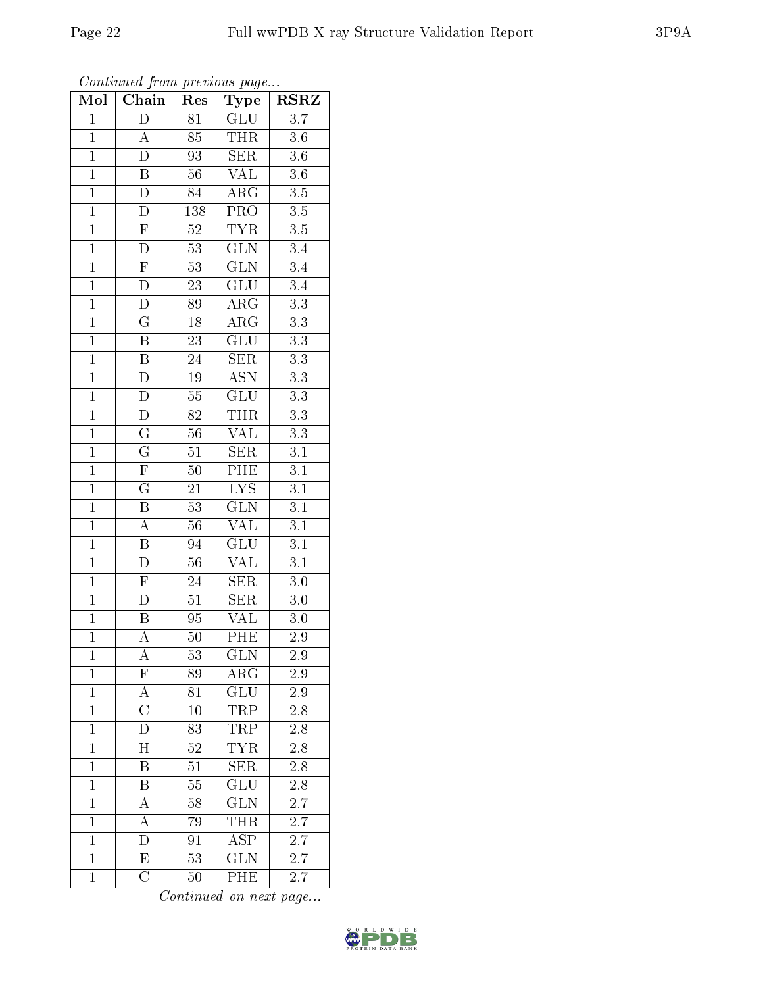Continued from previous page...

Mol Chain Res Type RSRZ

| $\mathbf 1$    | $\mathbf D$             | 81              | GLU                       | 3.7              |
|----------------|-------------------------|-----------------|---------------------------|------------------|
| $\overline{1}$ | $\overline{A}$          | 85              | THR                       | $3.6\,$          |
| $\overline{1}$ | $\overline{\rm D}$      | 93              | SER                       | $\overline{3.6}$ |
| $\overline{1}$ | $\, {\bf B}$            | 56              | <b>VAL</b>                | $3.6\,$          |
| $\overline{1}$ | $\overline{\rm D}$      | $\overline{84}$ | $\overline{\rm{ARG}}$     | $\overline{3.5}$ |
| $\overline{1}$ | D                       | $138\,$         | PRO                       | $3.5\,$          |
| $\overline{1}$ | $\overline{F}$          | $\overline{52}$ | <b>TYR</b>                | $\overline{3.5}$ |
| $\overline{1}$ | $\overline{D}$          | $\overline{53}$ | $\overline{\text{GLN}}$   | $\overline{3.4}$ |
| $\overline{1}$ | $\overline{F}$          | $\overline{53}$ | $\overline{\text{GLN}}$   | $\overline{3.4}$ |
| $\overline{1}$ | $\overline{D}$          | 23              | GLU                       | $\overline{3.4}$ |
| $\overline{1}$ | $\overline{\rm D}$      | 89              | $\rm{ARG}$                | $\overline{3.3}$ |
| $\overline{1}$ | $\overline{\mathrm{G}}$ | $\overline{18}$ | $\overline{\rm{ARG}}$     | $\overline{3.3}$ |
| $\overline{1}$ | $\overline{\mathbf{B}}$ | 23              | $\overline{\text{GLU}}$   | $\overline{3.3}$ |
| $\overline{1}$ | $\overline{\mathrm{B}}$ | 24              | $\overline{\text{SER}}$   | $\overline{3.3}$ |
| $\overline{1}$ | $\overline{D}$          | 19              | $\overline{\mathrm{ASN}}$ | $\overline{3.3}$ |
| $\overline{1}$ | $\overline{D}$          | $\overline{55}$ | $\overline{\text{GLU}}$   | $\overline{3.3}$ |
| $\overline{1}$ | $\overline{D}$          | $\overline{82}$ | <b>THR</b>                | $\overline{3.3}$ |
| $\mathbf{1}$   | $\overline{G}$          | $56\,$          | <b>VAL</b>                | $\overline{3.3}$ |
| $\overline{1}$ | $\overline{\mathrm{G}}$ | 51              | <b>SER</b>                | $\overline{3.1}$ |
| $\overline{1}$ | $\overline{\mathrm{F}}$ | $50\,$          | $\overline{PHE}$          | $\overline{3.1}$ |
| $\overline{1}$ | $\mathbf G$             | 21              | $\overline{LYS}$          | $\overline{3.1}$ |
| $\overline{1}$ | $\overline{\mathrm{B}}$ | $\overline{53}$ | $\overline{\text{GLN}}$   | $\overline{3.1}$ |
| $\overline{1}$ | $\overline{A}$          | 56              | <b>VAL</b>                | $\overline{3.1}$ |
| $\overline{1}$ | $\overline{B}$          | $\overline{94}$ | $\overline{\text{GLU}}$   | $\overline{3.1}$ |
| $\overline{1}$ | $\overline{D}$          | 56              | <b>VAL</b>                | $\overline{3.1}$ |
| $\overline{1}$ | $\mathbf{F}% _{0}$      | $\overline{24}$ | <b>SER</b>                | $\overline{3.0}$ |
| $\overline{1}$ | D                       | $\overline{51}$ | SER                       | $\overline{3.0}$ |
| $\overline{1}$ | $\overline{\mathbf{B}}$ | 95              | $\overline{\text{VAL}}$   | $3.0\,$          |
| $\overline{1}$ | $\overline{A}$          | $\overline{50}$ | $\overline{\text{PHE}}$   | $\overline{2.9}$ |
| $\overline{1}$ | $\overline{\rm A}$      | 53              | $\overline{\text{GLN}}$   | $\overline{2.9}$ |
| $\overline{1}$ | $\overline{F}$          | $\overline{89}$ | $\overline{\text{ARG}}$   | $\overline{2.9}$ |
| $\mathbf{1}$   | А                       | 81              | $\widetilde{{\rm GLU}}$   | $2.9\,$          |
| $\mathbf 1$    | $\overline{\rm C}$      | 10              | TRP                       | 2.8              |
| $\mathbf{1}$   | D                       | 83              | TRP                       | 2.8              |
| $\mathbf{1}$   | H                       | 52              | <b>TYR</b>                | 2.8              |
| $\mathbf{1}$   | B                       | 51              | $\overline{\text{SER}}$   | 2.8              |
| $\mathbf{1}$   | Β                       | 55              | GLU                       | $2.8\,$          |
| $\mathbf{1}$   | A                       | 58              | GLN                       | 2.7              |
| $\mathbf{1}$   | А                       | 79              | THR                       | 2.7              |
| $\mathbf{1}$   | D                       | 91              | <b>ASP</b>                | 2.7              |
| $\overline{1}$ | $\overline{\mathrm{E}}$ | $\overline{53}$ | $\overline{\text{GLN}}$   | $\overline{2.7}$ |
| $\mathbf 1$    | $\overline{\rm C}$      | 50              | PHE                       | 2.7              |

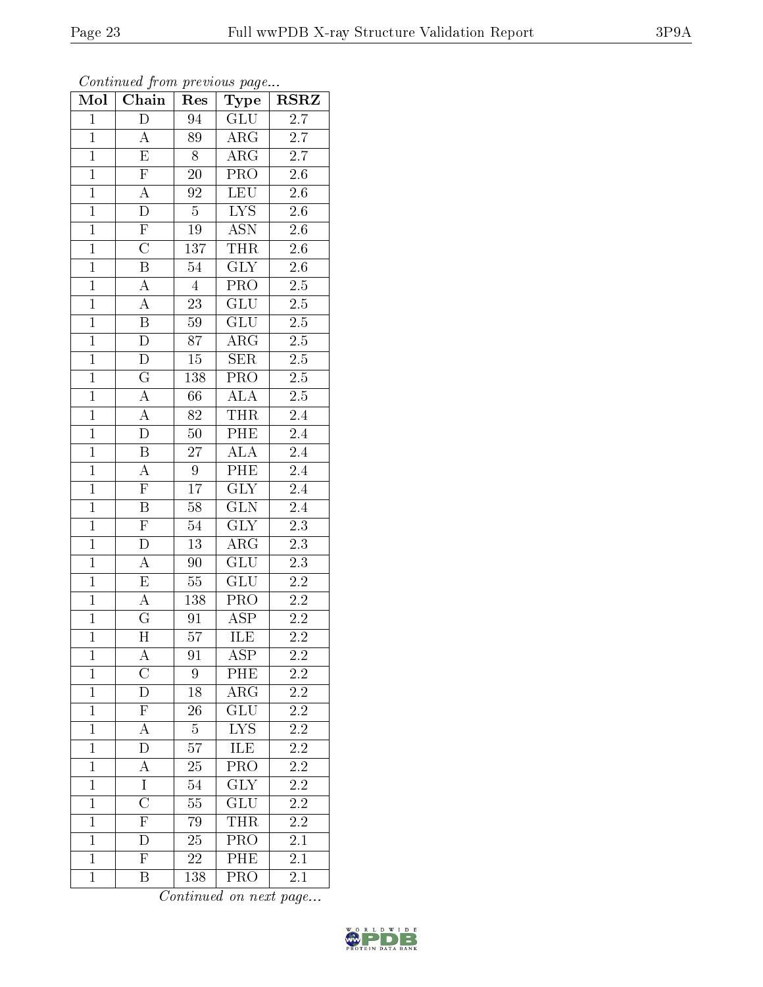| Mol            | Chain                   | Res             | Type                    | $RSR\overline{Z}$ |
|----------------|-------------------------|-----------------|-------------------------|-------------------|
| $\overline{1}$ | $\overline{\rm D}$      | 94              | GLU                     | $\overline{2.7}$  |
| $\mathbf{1}$   | $\boldsymbol{A}$        | 89              | $\rm{ARG}$              | $\overline{2.7}$  |
| $\overline{1}$ | $\overline{\mathrm{E}}$ | $\overline{8}$  | $\overline{\rm{ARG}}$   | $\overline{2.7}$  |
| $\overline{1}$ | $\overline{\mathrm{F}}$ | 20              | PRO                     | $2.\overline{6}$  |
| $\overline{1}$ | $\overline{A}$          | $\overline{92}$ | LEU                     | $\overline{2.6}$  |
| $\overline{1}$ | $\overline{D}$          | $\overline{5}$  | $L\overline{YS}$        | $2.6\,$           |
| $\overline{1}$ | $\overline{F}$          | 19              | $\overline{\text{ASN}}$ | $\overline{2.6}$  |
| $\overline{1}$ | $\overline{\rm C}$      | 137             | <b>THR</b>              | $2.\overline{6}$  |
| $\overline{1}$ | $\overline{\mathbf{B}}$ | 54              | $\overline{\text{GLY}}$ | $2.\overline{6}$  |
| $\overline{1}$ | $\overline{A}$          | $\overline{4}$  | PRO                     | $\overline{2.5}$  |
| $\mathbf{1}$   | $\overline{A}$          | $23\,$          | GLU                     | $\overline{2.5}$  |
| $\overline{1}$ | $\overline{\mathbf{B}}$ | $\overline{59}$ | $\overline{\text{GLU}}$ | $\overline{2.5}$  |
| $\overline{1}$ | $\overline{D}$          | $\overline{87}$ | $\overline{\rm{ARG}}$   | $\overline{2.5}$  |
| $\overline{1}$ | $\overline{D}$          | $\overline{15}$ | SER                     | $\overline{2.5}$  |
| $\overline{1}$ | $\overline{\mathrm{G}}$ | 138             | <b>PRO</b>              | $\overline{2.5}$  |
| $\mathbf{1}$   | $\overline{A}$          | 66              | $A\overline{LA}$        | $2.\overline{5}$  |
| $\overline{1}$ | $\overline{A}$          | 82              | <b>THR</b>              | $\overline{2.4}$  |
| $\overline{1}$ | $\overline{\rm D}$      | $50\,$          | PHE                     | $\overline{2.4}$  |
| $\overline{1}$ | $\overline{\mathbf{B}}$ | $\sqrt{27}$     | $\overline{ALA}$        | $\overline{2.4}$  |
| $\overline{1}$ | $\overline{A}$          | $\overline{9}$  | PHE                     | $\overline{2.4}$  |
| $\mathbf{1}$   | $\overline{\mathrm{F}}$ | $\overline{17}$ | $\overline{\text{GLY}}$ | $\overline{2.4}$  |
| $\overline{1}$ | $\overline{B}$          | $\overline{58}$ | $\overline{\text{GLN}}$ | $\overline{2.4}$  |
| $\overline{1}$ | $\overline{\mathrm{F}}$ | 54              | GLY                     | $\overline{2.3}$  |
| $\overline{1}$ | D                       | $\overline{13}$ | $\overline{\rm{ARG}}$   | $\overline{2.3}$  |
| $\overline{1}$ | $\overline{\rm A}$      | 90              | GLU                     | $\overline{2.3}$  |
| $\overline{1}$ | $\overline{E}$          | $55\,$          | GLU                     | $\overline{2.2}$  |
| $\overline{1}$ | $\overline{A}$          | 138             | $\overline{\text{PRO}}$ | $\overline{2.2}$  |
| $\overline{1}$ | $\overline{\mathrm{G}}$ | 91              | $\overline{\text{ASP}}$ | $\overline{2.2}$  |
| $\overline{1}$ | $\overline{\text{H}}$   | $5\overline{7}$ | $\overline{\rm ILE}$    | $2\overline{.2}$  |
| $\mathbf 1$    | A                       | 91              | ${\rm ASP}$             | 2.2               |
| $\mathbf{1}$   | $\overline{\mathrm{C}}$ | 9               | PHE                     | $2.2\,$           |
| $\mathbf{1}$   | $\overline{\rm D}$      | 18              | ARG                     | $2.2\,$           |
| $\mathbf{1}$   | $\overline{\mathrm{F}}$ | 26              | GLU                     | $2\overline{.2}$  |
| $\mathbf{1}$   | $\overline{A}$          | $\overline{5}$  | $\overline{\text{LYS}}$ | $\overline{2.2}$  |
| $\mathbf{1}$   | D                       | 57              | ILE                     | 2.2               |
| $\mathbf{1}$   | $\overline{A}$          | $\overline{2}5$ | $\overline{\text{PRO}}$ | $2.\overline{2}$  |
| $\mathbf{1}$   | $\overline{1}$          | 54              | $\overline{\text{GLY}}$ | $\overline{2.2}$  |
| $\mathbf{1}$   | $\overline{\text{C}}$   | 55              | $\overline{\text{GLU}}$ | 2.2               |
| $\overline{1}$ | $\overline{\mathrm{F}}$ | 79              | <b>THR</b>              | $\overline{2.2}$  |
| $\mathbf 1$    | D                       | 25              | PRO                     | $2.\overline{1}$  |
| $\mathbf{1}$   | $\overline{\mathrm{F}}$ | 22              | PHE                     | $\overline{2.1}$  |
| $\mathbf{1}$   | Β                       | 138             | PRO                     | 2.1               |